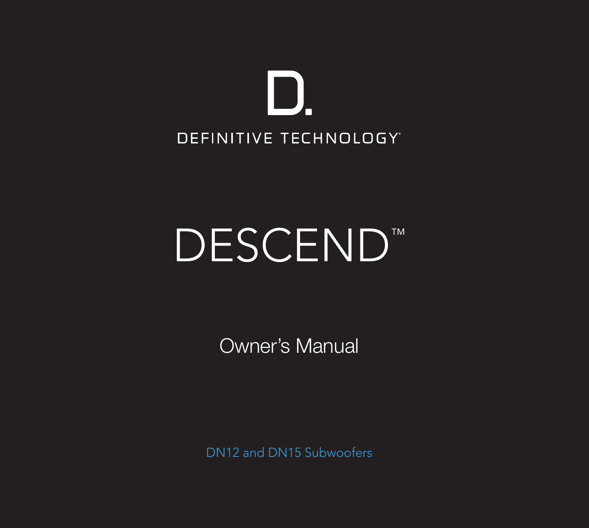

# DESCEND™

Owner's Manual

DN12 and DN15 Subwoofers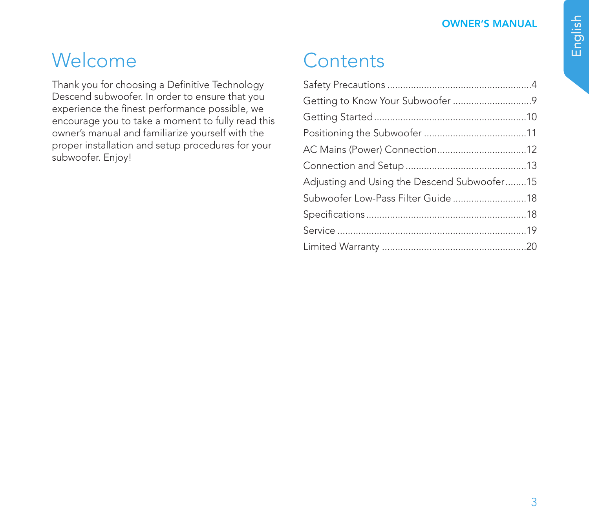## Welcome

Thank you for choosing a Definitive Technology Descend subwoofer. In order to ensure that you experience the finest performance possible, we encourage you to take a moment to fully read this owner's manual and familiarize yourself with the proper installation and setup procedures for your subwoofer. Enjoy!

# **Contents**

| Adjusting and Using the Descend Subwoofer15 |  |
|---------------------------------------------|--|
|                                             |  |
|                                             |  |
|                                             |  |
|                                             |  |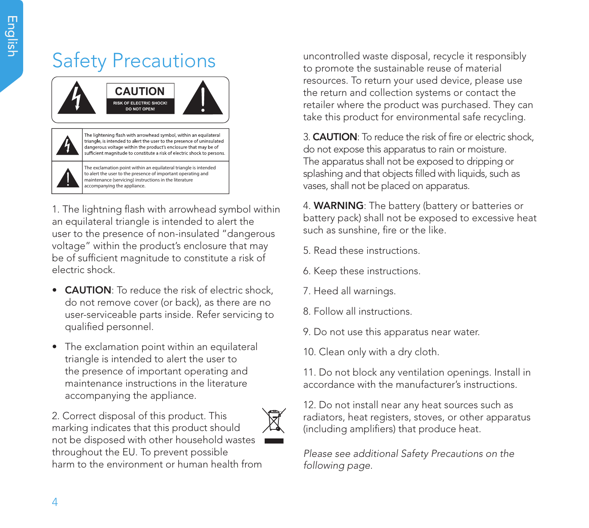# Safety Precautions



1. The lightning flash with arrowhead symbol within an equilateral triangle is intended to alert the user to the presence of non-insulated "dangerous voltage" within the product's enclosure that may be of sufficient magnitude to constitute a risk of electric shock.

- **CAUTION**: To reduce the risk of electric shock, do not remove cover (or back), as there are no user-serviceable parts inside. Refer servicing to qualified personnel.
- The exclamation point within an equilateral triangle is intended to alert the user to the presence of important operating and maintenance instructions in the literature accompanying the appliance.

2. Correct disposal of this product. This marking indicates that this product should not be disposed with other household wastes throughout the EU. To prevent possible harm to the environment or human health from uncontrolled waste disposal, recycle it responsibly to promote the sustainable reuse of material resources. To return your used device, please use the return and collection systems or contact the retailer where the product was purchased. They can take this product for environmental safe recycling.

3. CAUTION: To reduce the risk of fire or electric shock, do not expose this apparatus to rain or moisture. The apparatus shall not be exposed to dripping or splashing and that objects filled with liquids, such as vases, shall not be placed on apparatus.

4. WARNING: The battery (battery or batteries or battery pack) shall not be exposed to excessive heat such as sunshine, fire or the like.

- 5. Read these instructions.
- 6. Keep these instructions.
- 7. Heed all warnings.
- 8. Follow all instructions.
- 9. Do not use this apparatus near water.
- 10. Clean only with a dry cloth.

11. Do not block any ventilation openings. Install in accordance with the manufacturer's instructions.

12. Do not install near any heat sources such as radiators, heat registers, stoves, or other apparatus (including amplifiers) that produce heat.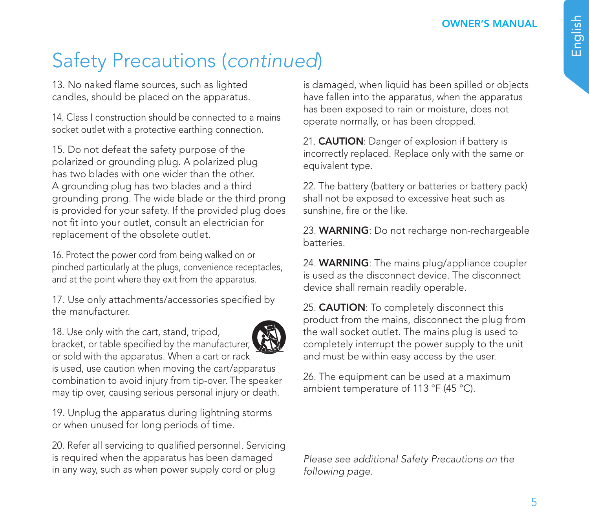13. No naked flame sources, such as lighted candles, should be placed on the apparatus.

14. Class I construction should be connected to a mains socket outlet with a protective earthing connection.

15. Do not defeat the safety purpose of the polarized or grounding plug. A polarized plug has two blades with one wider than the other. A grounding plug has two blades and a third grounding prong. The wide blade or the third prong is provided for your safety. If the provided plug does not fit into your outlet, consult an electrician for replacement of the obsolete outlet.

16. Protect the power cord from being walked on or pinched particularly at the plugs, convenience receptacles, and at the point where they exit from the apparatus.

17. Use only attachments/accessories specified by the manufacturer.

18. Use only with the cart, stand, tripod, bracket, or table specified by the manufacturer, or sold with the apparatus. When a cart or rack is used, use caution when moving the cart/apparatus combination to avoid injury from tip-over. The speaker may tip over, causing serious personal injury or death.

19. Unplug the apparatus during lightning storms or when unused for long periods of time.

20. Refer all servicing to qualified personnel. Servicing is required when the apparatus has been damaged in any way, such as when power supply cord or plug

is damaged, when liquid has been spilled or objects have fallen into the apparatus, when the apparatus has been exposed to rain or moisture, does not operate normally, or has been dropped.

21. **CAUTION**: Danger of explosion if battery is incorrectly replaced. Replace only with the same or equivalent type.

22. The battery (battery or batteries or battery pack) shall not be exposed to excessive heat such as sunshine, fire or the like.

23. WARNING: Do not recharge non-rechargeable batteries.

24. WARNING: The mains plug/appliance coupler is used as the disconnect device. The disconnect device shall remain readily operable.

25. **CAUTION**: To completely disconnect this product from the mains, disconnect the plug from the wall socket outlet. The mains plug is used to completely interrupt the power supply to the unit and must be within easy access by the user.

26. The equipment can be used at a maximum ambient temperature of 113 °F (45 °C).

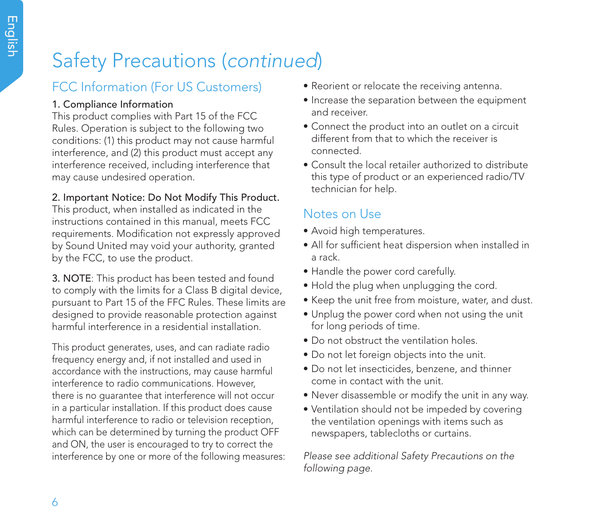## FCC Information (For US Customers)

### 1. Compliance Information

This product complies with Part 15 of the FCC Rules. Operation is subject to the following two conditions: (1) this product may not cause harmful interference, and (2) this product must accept any interference received, including interference that may cause undesired operation.

### 2. Important Notice: Do Not Modify This Product.

This product, when installed as indicated in the instructions contained in this manual, meets FCC requirements. Modification not expressly approved by Sound United may void your authority, granted by the FCC, to use the product.

3. NOTE: This product has been tested and found to comply with the limits for a Class B digital device, pursuant to Part 15 of the FFC Rules. These limits are designed to provide reasonable protection against harmful interference in a residential installation.

This product generates, uses, and can radiate radio frequency energy and, if not installed and used in accordance with the instructions, may cause harmful interference to radio communications. However, there is no guarantee that interference will not occur in a particular installation. If this product does cause harmful interference to radio or television reception, which can be determined by turning the product OFF and ON, the user is encouraged to try to correct the interference by one or more of the following measures:

- Reorient or relocate the receiving antenna.
- Increase the separation between the equipment and receiver.
- Connect the product into an outlet on a circuit different from that to which the receiver is connected.
- Consult the local retailer authorized to distribute this type of product or an experienced radio/TV technician for help.

## Notes on Use

- Avoid high temperatures.
- All for sufficient heat dispersion when installed in a rack.
- Handle the power cord carefully.
- Hold the plug when unplugging the cord.
- Keep the unit free from moisture, water, and dust.
- Unplug the power cord when not using the unit for long periods of time.
- Do not obstruct the ventilation holes.
- Do not let foreign objects into the unit.
- Do not let insecticides, benzene, and thinner come in contact with the unit.
- Never disassemble or modify the unit in any way.
- Ventilation should not be impeded by covering the ventilation openings with items such as newspapers, tablecloths or curtains.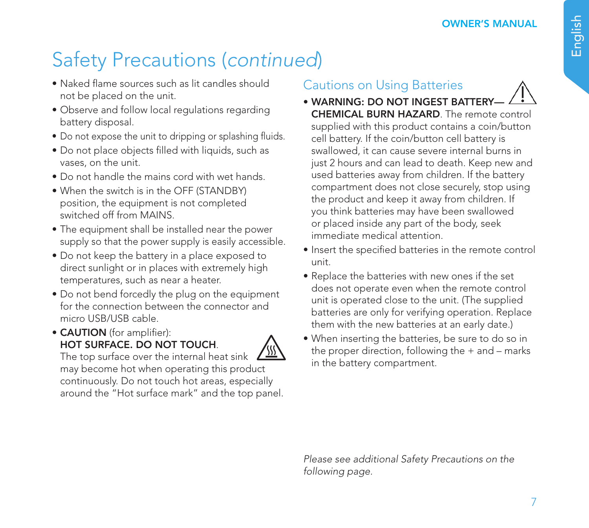- Naked flame sources such as lit candles should not be placed on the unit.
- Observe and follow local regulations regarding battery disposal.
- Do not expose the unit to dripping or splashing fluids.
- Do not place objects filled with liquids, such as vases, on the unit.
- Do not handle the mains cord with wet hands.
- When the switch is in the OFF (STANDBY) position, the equipment is not completed switched off from MAINS.
- The equipment shall be installed near the power supply so that the power supply is easily accessible.
- Do not keep the battery in a place exposed to direct sunlight or in places with extremely high temperatures, such as near a heater.
- Do not bend forcedly the plug on the equipment for the connection between the connector and micro USB/USB cable.
- CAUTION (for amplifier): HOT SURFACE. DO NOT TOUCH.



The top surface over the internal heat sink may become hot when operating this product continuously. Do not touch hot areas, especially around the "Hot surface mark" and the top panel.

## Cautions on Using Batteries

- WARNING: DO NOT INGEST BATTERY-CHEMICAL BURN HAZARD. The remote control supplied with this product contains a coin/button cell battery. If the coin/button cell battery is swallowed, it can cause severe internal burns in just 2 hours and can lead to death. Keep new and used batteries away from children. If the battery compartment does not close securely, stop using the product and keep it away from children. If you think batteries may have been swallowed or placed inside any part of the body, seek immediate medical attention.
- Insert the specified batteries in the remote control unit.
- Replace the batteries with new ones if the set does not operate even when the remote control unit is operated close to the unit. (The supplied batteries are only for verifying operation. Replace them with the new batteries at an early date.)
- When inserting the batteries, be sure to do so in the proper direction, following the + and – marks in the battery compartment.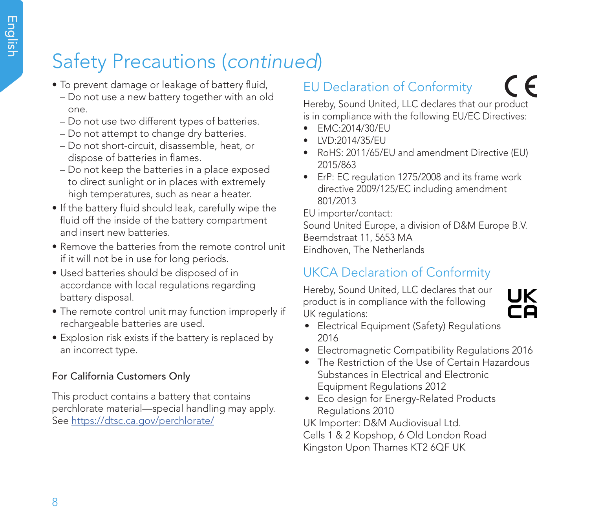- To prevent damage or leakage of battery fluid,
	- Do not use a new battery together with an old one.
	- Do not use two different types of batteries.
	- Do not attempt to change dry batteries.
	- Do not short-circuit, disassemble, heat, or dispose of batteries in flames.
	- Do not keep the batteries in a place exposed to direct sunlight or in places with extremely high temperatures, such as near a heater.
- If the battery fluid should leak, carefully wipe the fluid off the inside of the battery compartment and insert new batteries.
- Remove the batteries from the remote control unit if it will not be in use for long periods.
- Used batteries should be disposed of in accordance with local regulations regarding battery disposal.
- The remote control unit may function improperly if rechargeable batteries are used.
- Explosion risk exists if the battery is replaced by an incorrect type.

### For California Customers Only

This product contains a battery that contains perchlorate material—special handling may apply. See https://dtsc.ca.gov/perchlorate/

## EU Declaration of Conformity

C E

Hereby, Sound United, LLC declares that our product is in compliance with the following EU/EC Directives:

- EMC:2014/30/EU
- LVD:2014/35/EU
- RoHS: 2011/65/EU and amendment Directive (EU) 2015/863
- ErP: EC regulation 1275/2008 and its frame work directive 2009/125/EC including amendment 801/2013

EU importer/contact:

Sound United Europe, a division of D&M Europe B.V. Beemdstraat 11, 5653 MA Eindhoven, The Netherlands

## UKCA Declaration of Conformity

Hereby, Sound United, LLC declares that our product is in compliance with the following UK regulations:



- Electrical Equipment (Safety) Regulations 2016
- Electromagnetic Compatibility Regulations 2016
- The Restriction of the Use of Certain Hazardous Substances in Electrical and Electronic Equipment Regulations 2012
- Eco design for Energy-Related Products Regulations 2010

UK Importer: D&M Audiovisual Ltd. Cells 1 & 2 Kopshop, 6 Old London Road Kingston Upon Thames KT2 6QF UK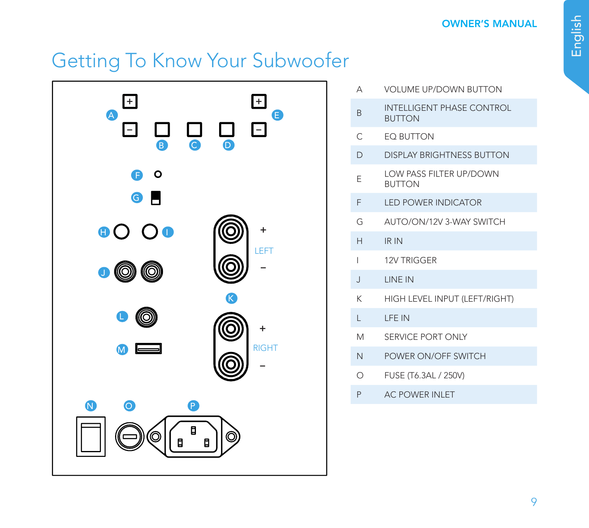# Getting To Know Your Subwoofer



| Д              | VOLUME UP/DOWN BUTTON                           |
|----------------|-------------------------------------------------|
| R              | INTELLIGENT PHASE CONTROL<br><b>BUTTON</b>      |
| C              | <b>FO BUTTON</b>                                |
| D              | DISPLAY BRIGHTNESS BUTTON                       |
| F              | <b>LOW PASS FILTER UP/DOWN</b><br><b>BUTTON</b> |
| F              | <b>I FD POWER INDICATOR</b>                     |
| G              | AUTO/ON/12V 3-WAY SWITCH                        |
| $\mathsf{H}$   | IR IN                                           |
| I              | 12V TRIGGER                                     |
| $\overline{1}$ | <b>I INF IN</b>                                 |
| K              | HIGH LEVEL INPUT (LEFT/RIGHT)                   |
| г              | <b>I FF IN</b>                                  |
| M              | SERVICE PORT ONLY                               |
| N              | POWER ON/OFF SWITCH                             |
| Ω              | FUSE (T6.3AL / 250V)                            |
| P              | <b>AC POWER INI FT</b>                          |
|                |                                                 |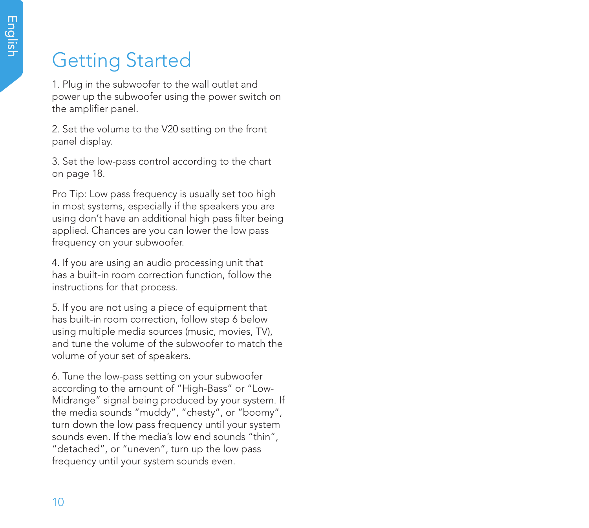# Getting Started

1. Plug in the subwoofer to the wall outlet and power up the subwoofer using the power switch on the amplifier panel.

2. Set the volume to the V20 setting on the front panel display.

3. Set the low-pass control according to the chart on page 18.

Pro Tip: Low pass frequency is usually set too high in most systems, especially if the speakers you are using don't have an additional high pass filter being applied. Chances are you can lower the low pass frequency on your subwoofer.

4. If you are using an audio processing unit that has a built-in room correction function, follow the instructions for that process.

5. If you are not using a piece of equipment that has built-in room correction, follow step 6 below using multiple media sources (music, movies, TV), and tune the volume of the subwoofer to match the volume of your set of speakers.

6. Tune the low-pass setting on your subwoofer according to the amount of "High-Bass" or "Low-Midrange" signal being produced by your system. If the media sounds "muddy", "chesty", or "boomy", turn down the low pass frequency until your system sounds even. If the media's low end sounds "thin", "detached", or "uneven", turn up the low pass frequency until your system sounds even.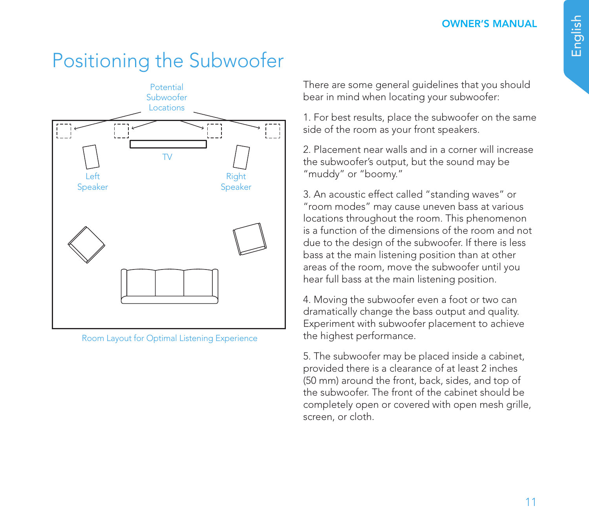# Positioning the Subwoofer



Room Layout for Optimal Listening Experience

There are some general guidelines that you should bear in mind when locating your subwoofer:

1. For best results, place the subwoofer on the same side of the room as your front speakers.

2. Placement near walls and in a corner will increase the subwoofer's output, but the sound may be "muddy" or "boomy."

3. An acoustic effect called "standing waves" or "room modes" may cause uneven bass at various locations throughout the room. This phenomenon is a function of the dimensions of the room and not due to the design of the subwoofer. If there is less bass at the main listening position than at other areas of the room, move the subwoofer until you hear full bass at the main listening position.

4. Moving the subwoofer even a foot or two can dramatically change the bass output and quality. Experiment with subwoofer placement to achieve the highest performance.

5. The subwoofer may be placed inside a cabinet, provided there is a clearance of at least 2 inches (50 mm) around the front, back, sides, and top of the subwoofer. The front of the cabinet should be completely open or covered with open mesh grille, screen, or cloth.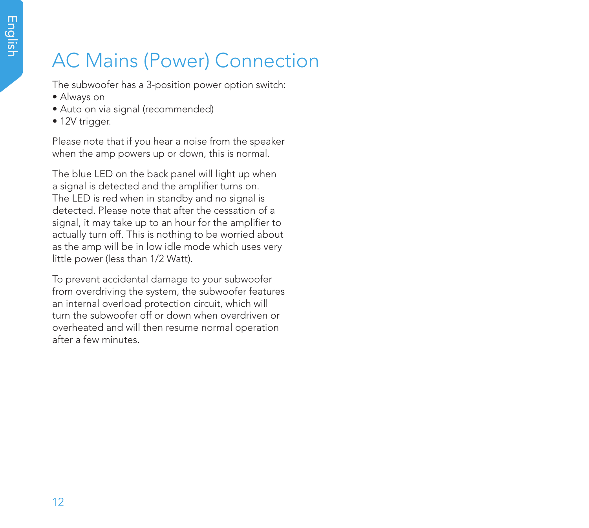# AC Mains (Power) Connection

The subwoofer has a 3-position power option switch:

- Always on
- Auto on via signal (recommended)
- 12V trigger.

Please note that if you hear a noise from the speaker when the amp powers up or down, this is normal.

The blue LED on the back panel will light up when a signal is detected and the amplifier turns on. The LED is red when in standby and no signal is detected. Please note that after the cessation of a signal, it may take up to an hour for the amplifier to actually turn off. This is nothing to be worried about as the amp will be in low idle mode which uses very little power (less than 1/2 Watt).

To prevent accidental damage to your subwoofer from overdriving the system, the subwoofer features an internal overload protection circuit, which will turn the subwoofer off or down when overdriven or overheated and will then resume normal operation after a few minutes.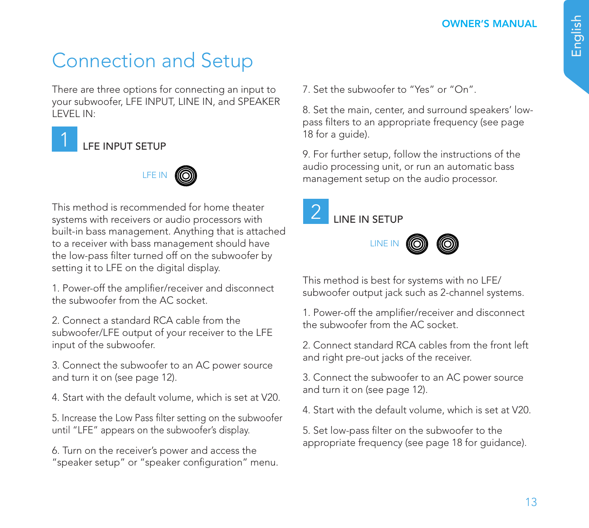# Connection and Setup

There are three options for connecting an input to your subwoofer, LFE INPUT, LINE IN, and SPEAKER LEVEL IN:

## LFE INPUT SETUP



This method is recommended for home theater systems with receivers or audio processors with built-in bass management. Anything that is attached to a receiver with bass management should have the low-pass filter turned off on the subwoofer by setting it to LFE on the digital display.

1. Power-off the amplifier/receiver and disconnect the subwoofer from the AC socket.

2. Connect a standard RCA cable from the subwoofer/LFE output of your receiver to the LFE input of the subwoofer.

3. Connect the subwoofer to an AC power source and turn it on (see page 12).

4. Start with the default volume, which is set at V20.

5. Increase the Low Pass filter setting on the subwoofer until "LFE" appears on the subwoofer's display.

6. Turn on the receiver's power and access the "speaker setup" or "speaker configuration" menu. 7. Set the subwoofer to "Yes" or "On".

8. Set the main, center, and surround speakers' lowpass filters to an appropriate frequency (see page 18 for a guide).

9. For further setup, follow the instructions of the audio processing unit, or run an automatic bass management setup on the audio processor.







This method is best for systems with no LFE/ subwoofer output jack such as 2-channel systems.

1. Power-off the amplifier/receiver and disconnect the subwoofer from the AC socket.

2. Connect standard RCA cables from the front left and right pre-out jacks of the receiver.

3. Connect the subwoofer to an AC power source and turn it on (see page 12).

4. Start with the default volume, which is set at V20.

5. Set low-pass filter on the subwoofer to the appropriate frequency (see page 18 for guidance).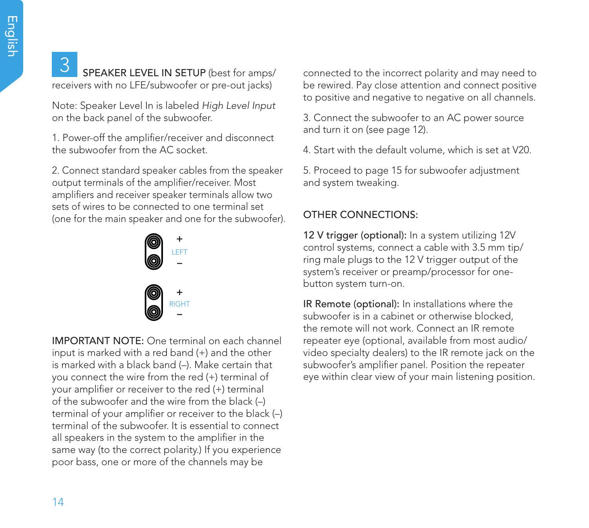## **3** SPEAKER LEVEL IN SETUP (best for amps/ receivers with no LFE/subwoofer or pre-out jacks)

Note: Speaker Level In is labeled *High Level Input*  on the back panel of the subwoofer.

1. Power-off the amplifier/receiver and disconnect the subwoofer from the AC socket.

2. Connect standard speaker cables from the speaker output terminals of the amplifier/receiver. Most amplifiers and receiver speaker terminals allow two sets of wires to be connected to one terminal set (one for the main speaker and one for the subwoofer).



IMPORTANT NOTE: One terminal on each channel input is marked with a red band (+) and the other is marked with a black band (–). Make certain that you connect the wire from the red (+) terminal of your amplifier or receiver to the red (+) terminal of the subwoofer and the wire from the black (–) terminal of your amplifier or receiver to the black (–) terminal of the subwoofer. It is essential to connect all speakers in the system to the amplifier in the same way (to the correct polarity.) If you experience poor bass, one or more of the channels may be

connected to the incorrect polarity and may need to be rewired. Pay close attention and connect positive to positive and negative to negative on all channels.

3. Connect the subwoofer to an AC power source and turn it on (see page 12).

4. Start with the default volume, which is set at V20.

5. Proceed to page 15 for subwoofer adjustment and system tweaking.

### OTHER CONNECTIONS:

12 V trigger (optional): In a system utilizing 12V control systems, connect a cable with 3.5 mm tip/ ring male plugs to the 12 V trigger output of the system's receiver or preamp/processor for onebutton system turn-on.

IR Remote (optional): In installations where the subwoofer is in a cabinet or otherwise blocked, the remote will not work. Connect an IR remote repeater eye (optional, available from most audio/ video specialty dealers) to the IR remote jack on the subwoofer's amplifier panel. Position the repeater eye within clear view of your main listening position.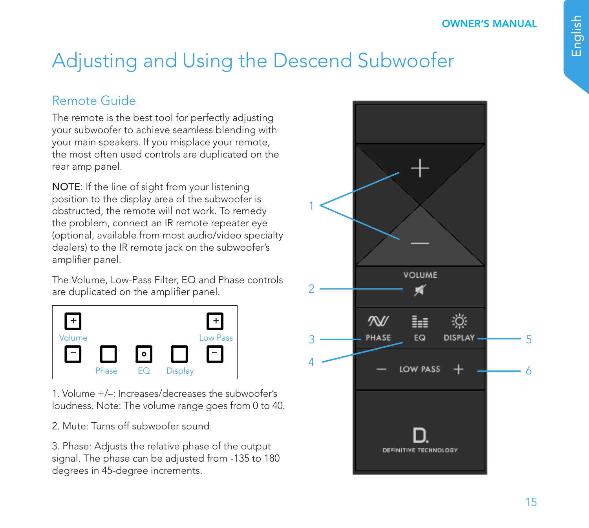# Adjusting and Using the Descend Subwoofer

## Remote Guide

The remote is the best tool for perfectly adjusting your subwoofer to achieve seamless blending with your main speakers. If you misplace your remote, the most often used controls are duplicated on the rear amp panel.

NOTE: If the line of sight from your listening position to the display area of the subwoofer is obstructed, the remote will not work. To remedy the problem, connect an IR remote repeater eye (optional, available from most audio/video specialty dealers) to the IR remote jack on the subwoofer's amplifier panel.

The Volume, Low-Pass Filter, EQ and Phase controls are duplicated on the amplifier panel.



1. Volume +/–: Increases/decreases the subwoofer's loudness. Note: The volume range goes from 0 to 40.

2. Mute: Turns off subwoofer sound.

3. Phase: Adjusts the relative phase of the output signal. The phase can be adjusted from -135 to 180 degrees in 45-degree increments.

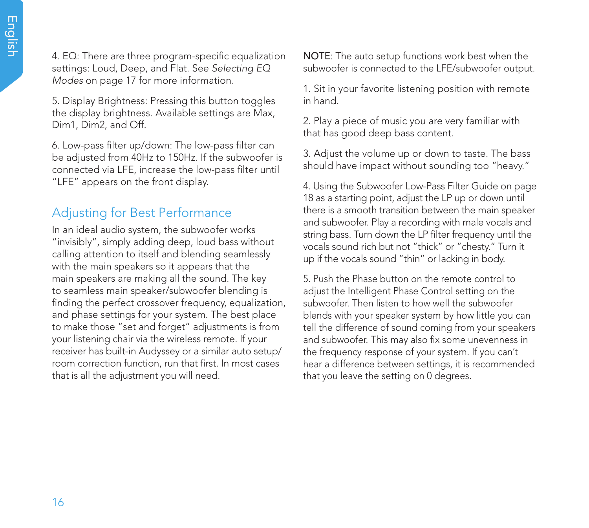4. EQ: There are three program-specific equalization settings: Loud, Deep, and Flat. See *Selecting EQ Modes* on page 17 for more information.

5. Display Brightness: Pressing this button toggles the display brightness. Available settings are Max, Dim1, Dim2, and Off.

6. Low-pass filter up/down: The low-pass filter can be adjusted from 40Hz to 150Hz. If the subwoofer is connected via LFE, increase the low-pass filter until "LFE" appears on the front display.

### Adjusting for Best Performance

In an ideal audio system, the subwoofer works "invisibly", simply adding deep, loud bass without calling attention to itself and blending seamlessly with the main speakers so it appears that the main speakers are making all the sound. The key to seamless main speaker/subwoofer blending is finding the perfect crossover frequency, equalization, and phase settings for your system. The best place to make those "set and forget" adjustments is from your listening chair via the wireless remote. If your receiver has built-in Audyssey or a similar auto setup/ room correction function, run that first. In most cases that is all the adjustment you will need.

NOTE: The auto setup functions work best when the subwoofer is connected to the LFE/subwoofer output.

1. Sit in your favorite listening position with remote in hand.

2. Play a piece of music you are very familiar with that has good deep bass content.

3. Adjust the volume up or down to taste. The bass should have impact without sounding too "heavy."

4. Using the Subwoofer Low-Pass Filter Guide on page 18 as a starting point, adjust the LP up or down until there is a smooth transition between the main speaker and subwoofer. Play a recording with male vocals and string bass. Turn down the LP filter frequency until the vocals sound rich but not "thick" or "chesty." Turn it up if the vocals sound "thin" or lacking in body.

5. Push the Phase button on the remote control to adjust the Intelligent Phase Control setting on the subwoofer. Then listen to how well the subwoofer blends with your speaker system by how little you can tell the difference of sound coming from your speakers and subwoofer. This may also fix some unevenness in the frequency response of your system. If you can't hear a difference between settings, it is recommended that you leave the setting on 0 degrees.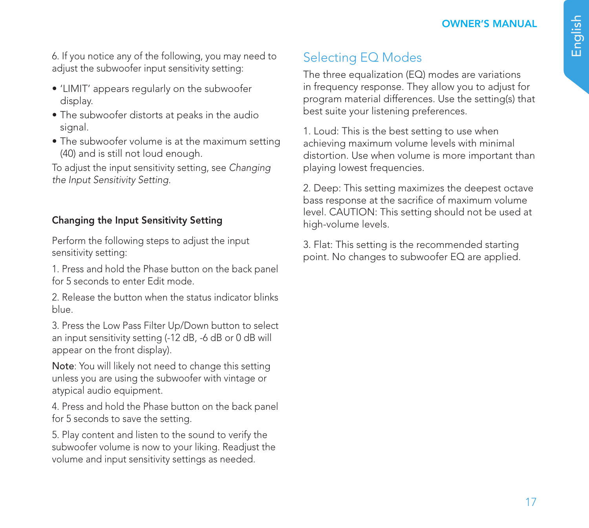6. If you notice any of the following, you may need to adjust the subwoofer input sensitivity setting:

- 'LIMIT' appears regularly on the subwoofer display.
- The subwoofer distorts at peaks in the audio signal.
- The subwoofer volume is at the maximum setting (40) and is still not loud enough.

To adjust the input sensitivity setting, see *Changing the Input Sensitivity Setting.*

### Changing the Input Sensitivity Setting

Perform the following steps to adjust the input sensitivity setting:

1. Press and hold the Phase button on the back panel for 5 seconds to enter Edit mode.

2. Release the button when the status indicator blinks blue.

3. Press the Low Pass Filter Up/Down button to select an input sensitivity setting (-12 dB, -6 dB or 0 dB will appear on the front display).

Note: You will likely not need to change this setting unless you are using the subwoofer with vintage or atypical audio equipment.

4. Press and hold the Phase button on the back panel for 5 seconds to save the setting.

5. Play content and listen to the sound to verify the subwoofer volume is now to your liking. Readjust the volume and input sensitivity settings as needed.

## Selecting EQ Modes

The three equalization (EQ) modes are variations in frequency response. They allow you to adjust for program material differences. Use the setting(s) that best suite your listening preferences.

1. Loud: This is the best setting to use when achieving maximum volume levels with minimal distortion. Use when volume is more important than playing lowest frequencies.

2. Deep: This setting maximizes the deepest octave bass response at the sacrifice of maximum volume level. CAUTION: This setting should not be used at high-volume levels.

3. Flat: This setting is the recommended starting point. No changes to subwoofer EQ are applied.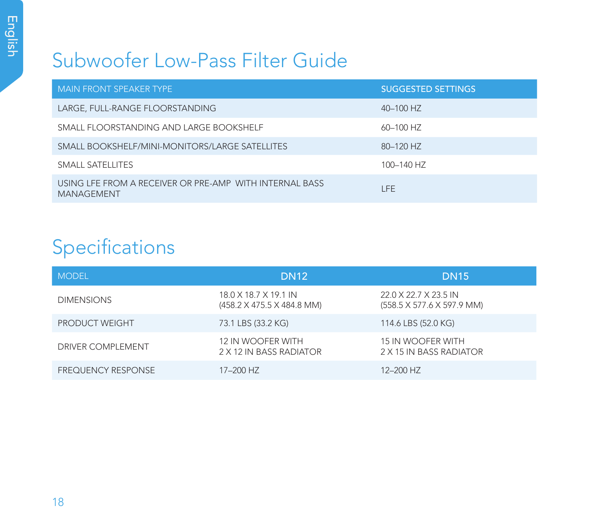## Subwoofer Low-Pass Filter Guide

| MAIN FRONT SPEAKER TYPE                                                      | <b>SUGGESTED SETTINGS</b> |
|------------------------------------------------------------------------------|---------------------------|
| LARGE, FULL-RANGE FLOORSTANDING                                              | 40-100 HZ                 |
| SMALL FLOORSTANDING AND LARGE BOOKSHELF                                      | 60-100 HZ                 |
| SMALL BOOKSHELF/MINI-MONITORS/LARGE SATELLITES                               | 80-120 HZ                 |
| SMALL SATELLITES                                                             | 100-140 HZ                |
| USING LFE FROM A RECEIVER OR PRE-AMP WITH INTERNAL BASS<br><b>MANAGEMENT</b> | I FF                      |

# Specifications

| <b>MODEL</b>              | <b>DN12</b>                                         | <b>DN15</b>                                         |
|---------------------------|-----------------------------------------------------|-----------------------------------------------------|
| <b>DIMENSIONS</b>         | 18.0 X 18.7 X 19.1 IN<br>(458.2 X 475.5 X 484.8 MM) | 22.0 X 22.7 X 23.5 IN<br>(558.5 X 577.6 X 597.9 MM) |
| <b>PRODUCT WEIGHT</b>     | 73.1 LBS (33.2 KG)                                  | 114.6 LBS (52.0 KG)                                 |
| DRIVER COMPI EMENT        | 12 IN WOOFER WITH<br>2 X 12 IN BASS RADIATOR        | <b>15 IN WOOFER WITH</b><br>2 X 15 IN BASS RADIATOR |
| <b>FREQUENCY RESPONSE</b> | 17-200 HZ                                           | 12-200 HZ                                           |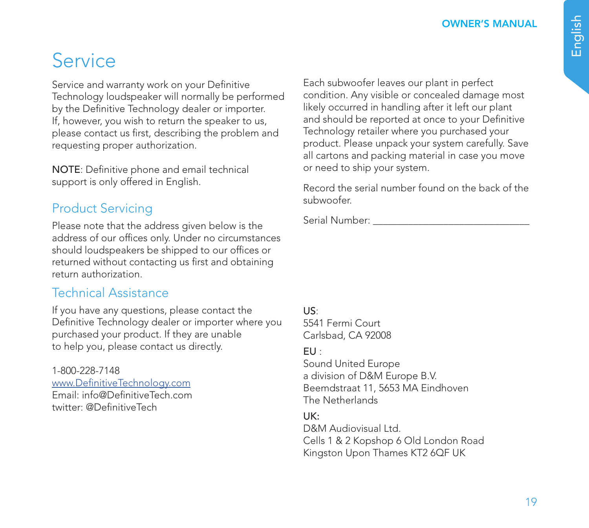OWNER'S MANUAL

## Service

Service and warranty work on your Definitive Technology loudspeaker will normally be performed by the Definitive Technology dealer or importer. If, however, you wish to return the speaker to us, please contact us first, describing the problem and requesting proper authorization.

NOTE: Definitive phone and email technical support is only offered in English.

## Product Servicing

Please note that the address given below is the address of our offices only. Under no circumstances should loudspeakers be shipped to our offices or returned without contacting us first and obtaining return authorization.

### Technical Assistance

If you have any questions, please contact the Definitive Technology dealer or importer where you purchased your product. If they are unable to help you, please contact us directly.

1-800-228-7148 www.DefinitiveTechnology.com Email: info@DefinitiveTech.com twitter: @DefinitiveTech

Each subwoofer leaves our plant in perfect condition. Any visible or concealed damage most likely occurred in handling after it left our plant and should be reported at once to your Definitive Technology retailer where you purchased your product. Please unpack your system carefully. Save all cartons and packing material in case you move or need to ship your system.

Record the serial number found on the back of the subwoofer.

Serial Number:

### US:

5541 Fermi Court Carlsbad, CA 92008

### EU :

Sound United Europe a division of D&M Europe B.V. Beemdstraat 11, 5653 MA Eindhoven The Netherlands

### UK:

D&M Audiovisual Ltd. Cells 1 & 2 Kopshop 6 Old London Road Kingston Upon Thames KT2 6QF UK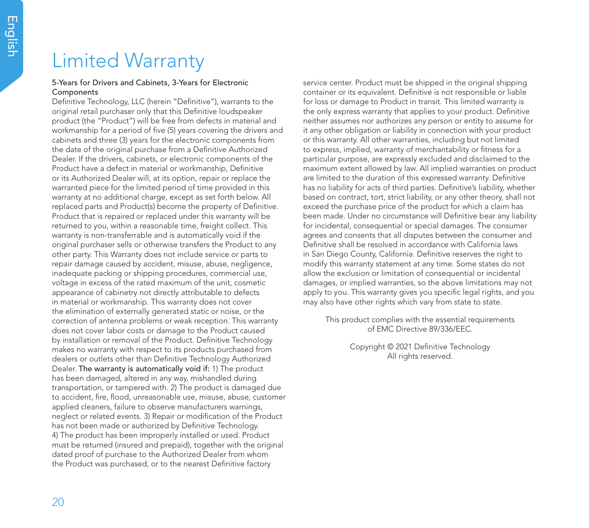## Limited Warranty

### 5-Years for Drivers and Cabinets, 3-Years for Electronic Components

Definitive Technology, LLC (herein "Definitive"), warrants to the original retail purchaser only that this Definitive loudspeaker product (the "Product") will be free from defects in material and workmanship for a period of five (5) years covering the drivers and cabinets and three (3) years for the electronic components from the date of the original purchase from a Definitive Authorized Dealer. If the drivers, cabinets, or electronic components of the Product have a defect in material or workmanship, Definitive or its Authorized Dealer will, at its option, repair or replace the warranted piece for the limited period of time provided in this warranty at no additional charge, except as set forth below. All replaced parts and Product(s) become the property of Definitive. Product that is repaired or replaced under this warranty will be returned to you, within a reasonable time, freight collect. This warranty is non-transferrable and is automatically void if the original purchaser sells or otherwise transfers the Product to any other party. This Warranty does not include service or parts to repair damage caused by accident, misuse, abuse, negligence, inadequate packing or shipping procedures, commercial use, voltage in excess of the rated maximum of the unit, cosmetic appearance of cabinetry not directly attributable to defects in material or workmanship. This warranty does not cover the elimination of externally generated static or noise, or the correction of antenna problems or weak reception. This warranty does not cover labor costs or damage to the Product caused by installation or removal of the Product. Definitive Technology makes no warranty with respect to its products purchased from dealers or outlets other than Definitive Technology Authorized Dealer. The warranty is automatically void if: 1) The product has been damaged, altered in any way, mishandled during transportation, or tampered with. 2) The product is damaged due to accident, fire, flood, unreasonable use, misuse, abuse, customer applied cleaners, failure to observe manufacturers warnings, neglect or related events. 3) Repair or modification of the Product has not been made or authorized by Definitive Technology. 4) The product has been improperly installed or used. Product must be returned (insured and prepaid), together with the original dated proof of purchase to the Authorized Dealer from whom the Product was purchased, or to the nearest Definitive factory

service center. Product must be shipped in the original shipping container or its equivalent. Definitive is not responsible or liable for loss or damage to Product in transit. This limited warranty is the only express warranty that applies to your product. Definitive neither assumes nor authorizes any person or entity to assume for it any other obligation or liability in connection with your product or this warranty. All other warranties, including but not limited to express, implied, warranty of merchantability or fitness for a particular purpose, are expressly excluded and disclaimed to the maximum extent allowed by law. All implied warranties on product are limited to the duration of this expressed warranty. Definitive has no liability for acts of third parties. Definitive's liability, whether based on contract, tort, strict liability, or any other theory, shall not exceed the purchase price of the product for which a claim has been made. Under no circumstance will Definitive bear any liability for incidental, consequential or special damages. The consumer agrees and consents that all disputes between the consumer and Definitive shall be resolved in accordance with California laws in San Diego County, California. Definitive reserves the right to modify this warranty statement at any time. Some states do not allow the exclusion or limitation of consequential or incidental damages, or implied warranties, so the above limitations may not apply to you. This warranty gives you specific legal rights, and you may also have other rights which vary from state to state.

This product complies with the essential requirements of EMC Directive 89/336/EEC.

> Copyright © 2021 Definitive Technology All rights reserved.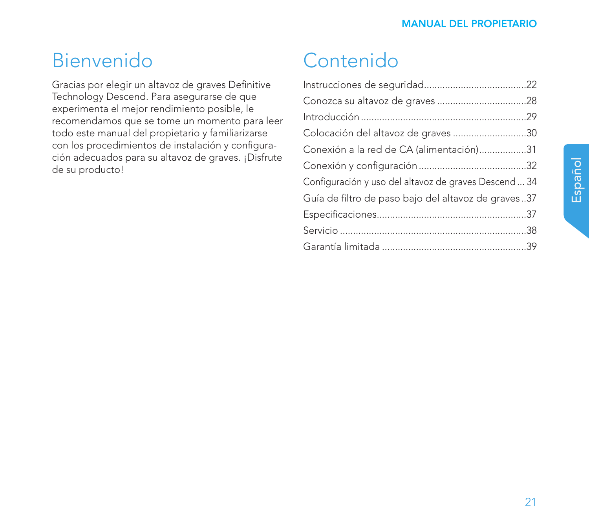## Bienvenido

Gracias por elegir un altavoz de graves Definitive Technology Descend. Para asegurarse de que experimenta el mejor rendimiento posible, le recomendamos que se tome un momento para leer todo este manual del propietario y familiarizarse con los procedimientos de instalación y configuración adecuados para su altavoz de graves. ¡Disfrute de su producto!

# Contenido

| Colocación del altavoz de graves 30                  |  |
|------------------------------------------------------|--|
| Conexión a la red de CA (alimentación)31             |  |
|                                                      |  |
| Configuración y uso del altavoz de graves Descend 34 |  |
| Guía de filtro de paso bajo del altavoz de graves37  |  |
|                                                      |  |
|                                                      |  |
|                                                      |  |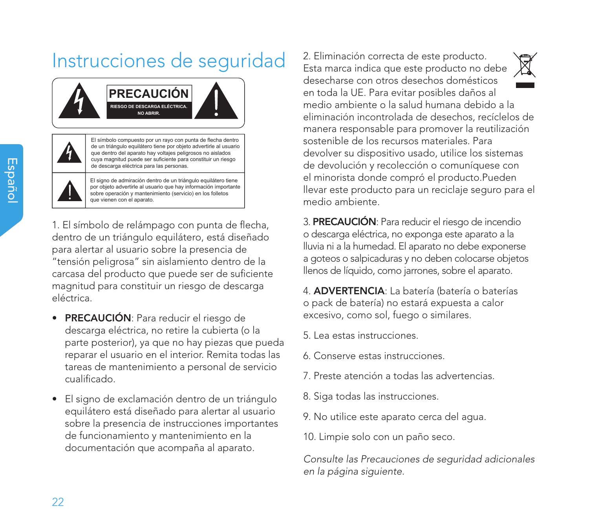# Instrucciones de seguridad



El símbolo compuesto por un rayo con punta de flecha dentro de un triángulo equilátero tiene por objeto advertirle al usuario que dentro del aparato hay voltajes peligrosos no aislados cuya magnitud puede ser suficiente para constituir un riesgo de descarga eléctrica para las personas.

El signo de admiración dentro de un triángulo equilátero tiene por objeto advertirle al usuario que hay información importante sobre operación y mantenimiento (servicio) en los folletos que vienen con el aparato.

1. El símbolo de relámpago con punta de flecha, dentro de un triángulo equilátero, está diseñado para alertar al usuario sobre la presencia de "tensión peligrosa" sin aislamiento dentro de la carcasa del producto que puede ser de suficiente magnitud para constituir un riesgo de descarga eléctrica.

- PRECAUCIÓN: Para reducir el riesgo de descarga eléctrica, no retire la cubierta (o la parte posterior), ya que no hay piezas que pueda reparar el usuario en el interior. Remita todas las tareas de mantenimiento a personal de servicio cualificado.
- El signo de exclamación dentro de un triángulo equilátero está diseñado para alertar al usuario sobre la presencia de instrucciones importantes de funcionamiento y mantenimiento en la documentación que acompaña al aparato.

2. Eliminación correcta de este producto. Esta marca indica que este producto no debe desecharse con otros desechos domésticos en toda la UE. Para evitar posibles daños al medio ambiente o la salud humana debido a la eliminación incontrolada de desechos, recíclelos de manera responsable para promover la reutilización sostenible de los recursos materiales. Para devolver su dispositivo usado, utilice los sistemas de devolución y recolección o comuníquese con el minorista donde compró el producto.Pueden llevar este producto para un reciclaje seguro para el medio ambiente.

3. PRECAUCIÓN: Para reducir el riesgo de incendio o descarga eléctrica, no exponga este aparato a la lluvia ni a la humedad. El aparato no debe exponerse a goteos o salpicaduras y no deben colocarse objetos llenos de líquido, como jarrones, sobre el aparato.

4. ADVERTENCIA: La batería (batería o baterías o pack de batería) no estará expuesta a calor excesivo, como sol, fuego o similares.

- 5. Lea estas instrucciones.
- 6. Conserve estas instrucciones.
- 7. Preste atención a todas las advertencias.
- 8. Siga todas las instrucciones.
- 9. No utilice este aparato cerca del agua.
- 10. Limpie solo con un paño seco.

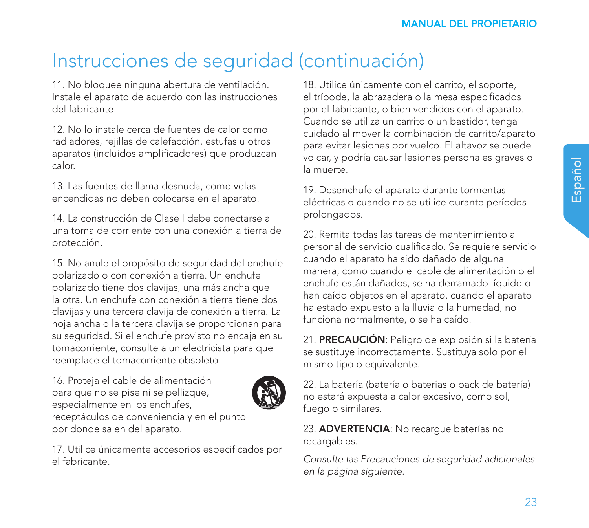11. No bloquee ninguna abertura de ventilación. Instale el aparato de acuerdo con las instrucciones del fabricante.

12. No lo instale cerca de fuentes de calor como radiadores, rejillas de calefacción, estufas u otros aparatos (incluidos amplificadores) que produzcan calor.

13. Las fuentes de llama desnuda, como velas encendidas no deben colocarse en el aparato.

14. La construcción de Clase I debe conectarse a una toma de corriente con una conexión a tierra de protección.

15. No anule el propósito de seguridad del enchufe polarizado o con conexión a tierra. Un enchufe polarizado tiene dos clavijas, una más ancha que la otra. Un enchufe con conexión a tierra tiene dos clavijas y una tercera clavija de conexión a tierra. La hoja ancha o la tercera clavija se proporcionan para su seguridad. Si el enchufe provisto no encaja en su tomacorriente, consulte a un electricista para que reemplace el tomacorriente obsoleto.

16. Proteja el cable de alimentación para que no se pise ni se pellizque, especialmente en los enchufes, por donde salen del aparato.



receptáculos de conveniencia y en el punto

17. Utilice únicamente accesorios especificados por el fabricante.

18. Utilice únicamente con el carrito, el soporte, el trípode, la abrazadera o la mesa especificados por el fabricante, o bien vendidos con el aparato. Cuando se utiliza un carrito o un bastidor, tenga cuidado al mover la combinación de carrito/aparato para evitar lesiones por vuelco. El altavoz se puede volcar, y podría causar lesiones personales graves o la muerte.

19. Desenchufe el aparato durante tormentas eléctricas o cuando no se utilice durante períodos prolongados.

20. Remita todas las tareas de mantenimiento a personal de servicio cualificado. Se requiere servicio cuando el aparato ha sido dañado de alguna manera, como cuando el cable de alimentación o el enchufe están dañados, se ha derramado líquido o han caído objetos en el aparato, cuando el aparato ha estado expuesto a la lluvia o la humedad, no funciona normalmente, o se ha caído.

21. PRECAUCIÓN: Peligro de explosión si la batería se sustituye incorrectamente. Sustituya solo por el mismo tipo o equivalente.

22. La batería (batería o baterías o pack de batería) no estará expuesta a calor excesivo, como sol, fuego o similares.

23. ADVERTENCIA: No recargue baterías no recargables.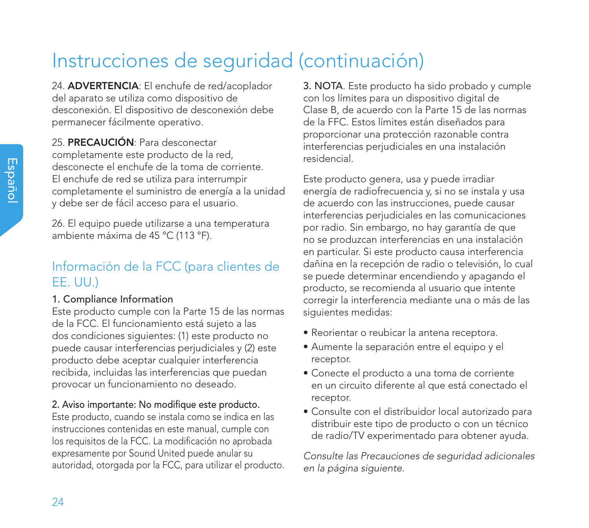24. ADVERTENCIA: El enchufe de red/acoplador del aparato se utiliza como dispositivo de desconexión. El dispositivo de desconexión debe permanecer fácilmente operativo.

25. PRECAUCIÓN: Para desconectar completamente este producto de la red, desconecte el enchufe de la toma de corriente. El enchufe de red se utiliza para interrumpir completamente el suministro de energía a la unidad y debe ser de fácil acceso para el usuario.

26. El equipo puede utilizarse a una temperatura ambiente máxima de 45 °C (113 °F).

### Información de la FCC (para clientes de EE. UU.)

### 1. Compliance Information

Este producto cumple con la Parte 15 de las normas de la FCC. El funcionamiento está sujeto a las dos condiciones siguientes: (1) este producto no puede causar interferencias perjudiciales y (2) este producto debe aceptar cualquier interferencia recibida, incluidas las interferencias que puedan provocar un funcionamiento no deseado.

### 2. Aviso importante: No modifique este producto.

Este producto, cuando se instala como se indica en las instrucciones contenidas en este manual, cumple con los requisitos de la FCC. La modificación no aprobada expresamente por Sound United puede anular su autoridad, otorgada por la FCC, para utilizar el producto. 3. NOTA. Este producto ha sido probado y cumple con los límites para un dispositivo digital de Clase B, de acuerdo con la Parte 15 de las normas de la FFC. Estos límites están diseñados para proporcionar una protección razonable contra interferencias perjudiciales en una instalación residencial.

Este producto genera, usa y puede irradiar energía de radiofrecuencia y, si no se instala y usa de acuerdo con las instrucciones, puede causar interferencias perjudiciales en las comunicaciones por radio. Sin embargo, no hay garantía de que no se produzcan interferencias en una instalación en particular. Si este producto causa interferencia dañina en la recepción de radio o televisión, lo cual se puede determinar encendiendo y apagando el producto, se recomienda al usuario que intente corregir la interferencia mediante una o más de las siguientes medidas:

- Reorientar o reubicar la antena receptora.
- Aumente la separación entre el equipo y el receptor.
- Conecte el producto a una toma de corriente en un circuito diferente al que está conectado el receptor.
- Consulte con el distribuidor local autorizado para distribuir este tipo de producto o con un técnico de radio/TV experimentado para obtener ayuda.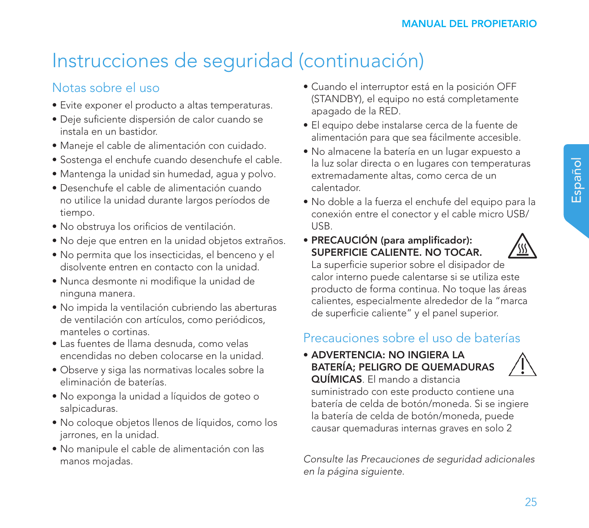## Notas sobre el uso

- Evite exponer el producto a altas temperaturas.
- Deje suficiente dispersión de calor cuando se instala en un bastidor.
- Maneje el cable de alimentación con cuidado.
- Sostenga el enchufe cuando desenchufe el cable.
- Mantenga la unidad sin humedad, agua y polvo.
- Desenchufe el cable de alimentación cuando no utilice la unidad durante largos períodos de tiempo.
- No obstruya los orificios de ventilación.
- No deje que entren en la unidad objetos extraños.
- No permita que los insecticidas, el benceno y el disolvente entren en contacto con la unidad.
- Nunca desmonte ni modifique la unidad de ninguna manera.
- No impida la ventilación cubriendo las aberturas de ventilación con artículos, como periódicos, manteles o cortinas.
- Las fuentes de llama desnuda, como velas encendidas no deben colocarse en la unidad.
- Observe y siga las normativas locales sobre la eliminación de baterías.
- No exponga la unidad a líquidos de goteo o salpicaduras.
- No coloque objetos llenos de líquidos, como los jarrones, en la unidad.
- No manipule el cable de alimentación con las manos mojadas.
- Cuando el interruptor está en la posición OFF (STANDBY), el equipo no está completamente apagado de la RED.
- El equipo debe instalarse cerca de la fuente de alimentación para que sea fácilmente accesible.
- No almacene la batería en un lugar expuesto a la luz solar directa o en lugares con temperaturas extremadamente altas, como cerca de un calentador.
- No doble a la fuerza el enchufe del equipo para la conexión entre el conector y el cable micro USB/ USB.
- PRECAUCIÓN (para amplificador): SUPERFICIE CALIENTE. NO TOCAR.



La superficie superior sobre el disipador de calor interno puede calentarse si se utiliza este producto de forma continua. No toque las áreas calientes, especialmente alrededor de la "marca de superficie caliente" y el panel superior.

## Precauciones sobre el uso de baterías

• ADVERTENCIA: NO INGIERA LA BATERÍA; PELIGRO DE QUEMADURAS QUÍMICAS. El mando a distancia



suministrado con este producto contiene una batería de celda de botón/moneda. Si se ingiere la batería de celda de botón/moneda, puede causar quemaduras internas graves en solo 2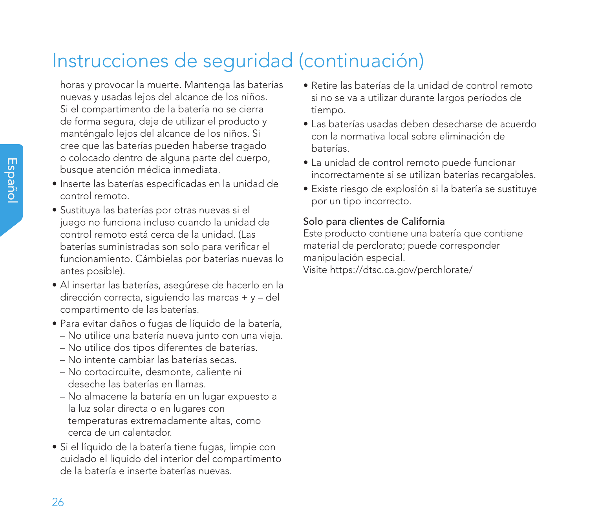horas y provocar la muerte. Mantenga las baterías nuevas y usadas lejos del alcance de los niños. Si el compartimento de la batería no se cierra de forma segura, deje de utilizar el producto y manténgalo lejos del alcance de los niños. Si cree que las baterías pueden haberse tragado o colocado dentro de alguna parte del cuerpo, busque atención médica inmediata.

- Inserte las baterías especificadas en la unidad de control remoto.
- Sustituya las baterías por otras nuevas si el juego no funciona incluso cuando la unidad de control remoto está cerca de la unidad. (Las baterías suministradas son solo para verificar el funcionamiento. Cámbielas por baterías nuevas lo antes posible).
- Al insertar las baterías, asegúrese de hacerlo en la dirección correcta, siguiendo las marcas + y – del compartimento de las baterías.
- Para evitar daños o fugas de líquido de la batería,
	- No utilice una batería nueva junto con una vieja.
	- No utilice dos tipos diferentes de baterías.
	- No intente cambiar las baterías secas.
	- No cortocircuite, desmonte, caliente ni deseche las baterías en llamas.
	- No almacene la batería en un lugar expuesto a la luz solar directa o en lugares con temperaturas extremadamente altas, como cerca de un calentador.
- Si el líquido de la batería tiene fugas, limpie con cuidado el líquido del interior del compartimento de la batería e inserte baterías nuevas.
- Retire las baterías de la unidad de control remoto si no se va a utilizar durante largos períodos de tiempo.
- Las baterías usadas deben desecharse de acuerdo con la normativa local sobre eliminación de baterías.
- La unidad de control remoto puede funcionar incorrectamente si se utilizan baterías recargables.
- Existe riesgo de explosión si la batería se sustituye por un tipo incorrecto.

### Solo para clientes de California

Este producto contiene una batería que contiene material de perclorato; puede corresponder manipulación especial. Visite https://dtsc.ca.gov/perchlorate/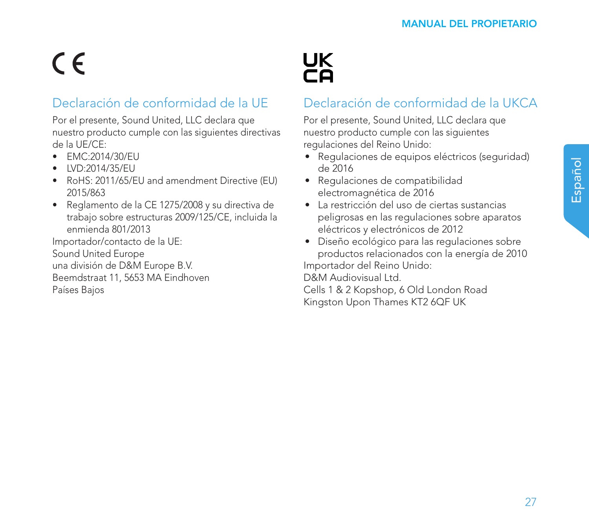# $\epsilon$

## Declaración de conformidad de la UE

Por el presente, Sound United, LLC declara que nuestro producto cumple con las siguientes directivas de la UE/CE:

- EMC:2014/30/EU
- LVD:2014/35/EU
- RoHS: 2011/65/EU and amendment Directive (EU) 2015/863
- Reglamento de la CE 1275/2008 y su directiva de trabajo sobre estructuras 2009/125/CE, incluida la enmienda 801/2013

Importador/contacto de la UE:

Sound United Europe una división de D&M Europe B.V. Beemdstraat 11, 5653 MA Eindhoven Países Bajos



## Declaración de conformidad de la UKCA

Por el presente, Sound United, LLC declara que nuestro producto cumple con las siguientes regulaciones del Reino Unido:

- Regulaciones de equipos eléctricos (seguridad) de 2016
- Regulaciones de compatibilidad electromagnética de 2016
- La restricción del uso de ciertas sustancias peligrosas en las regulaciones sobre aparatos eléctricos y electrónicos de 2012

• Diseño ecológico para las regulaciones sobre productos relacionados con la energía de 2010 Importador del Reino Unido:

D&M Audiovisual Ltd.

Cells 1 & 2 Kopshop, 6 Old London Road Kingston Upon Thames KT2 6QF UK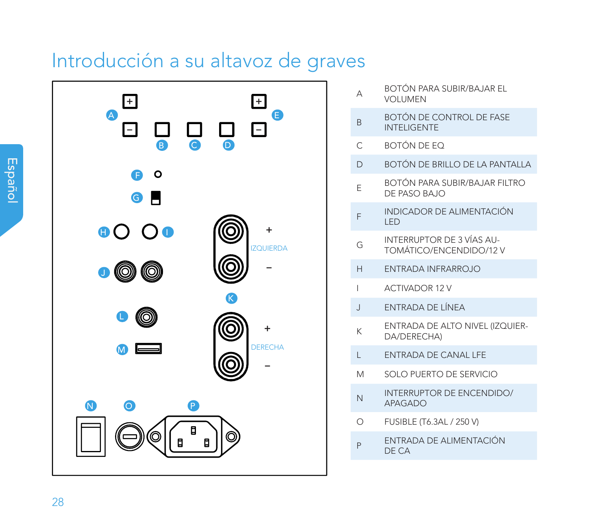## Introducción a su altavoz de graves



- A BOTÓN PARA SUBIR/BAJAR EL VOLUMEN
- BOTÓN DE CONTROL DE FASE INTELIGENTE

C BOTÓN DE EQ

- D BOTÓN DE BRILLO DE LA PANTALLA
- <sup>E</sup> BOTÓN PARA SUBIR/BAJAR FILTRO DE PASO BAJO
- F INDICADOR DE ALIMENTACIÓN LED
- <sup>G</sup> INTERRUPTOR DE 3 VÍAS AU-TOMÁTICO/ENCENDIDO/12 V
- H ENTRADA INFRARROJO
- I ACTIVADOR 12 V
- J ENTRADA DE LÍNEA
- <sup>K</sup> ENTRADA DE ALTO NIVEL (IZQUIER-DA/DERECHA)
- L ENTRADA DE CANAL LFE
- M SOLO PUERTO DE SERVICIO
- N INTERRUPTOR DE ENCENDIDO/ APAGADO
- O FUSIBLE (T6.3AL / 250 V)
- P ENTRADA DE ALIMENTACIÓN DE CA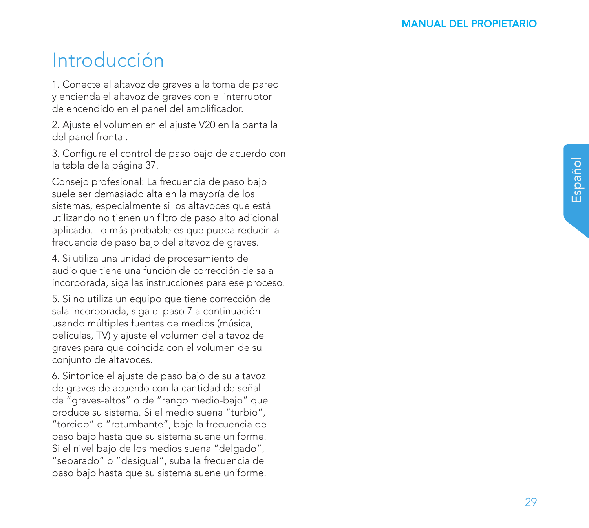## Introducción

1. Conecte el altavoz de graves a la toma de pared y encienda el altavoz de graves con el interruptor de encendido en el panel del amplificador.

2. Ajuste el volumen en el ajuste V20 en la pantalla del panel frontal.

3. Configure el control de paso bajo de acuerdo con la tabla de la página 37.

Consejo profesional: La frecuencia de paso bajo suele ser demasiado alta en la mayoría de los sistemas, especialmente si los altavoces que está utilizando no tienen un filtro de paso alto adicional aplicado. Lo más probable es que pueda reducir la frecuencia de paso bajo del altavoz de graves.

4. Si utiliza una unidad de procesamiento de audio que tiene una función de corrección de sala incorporada, siga las instrucciones para ese proceso.

5. Si no utiliza un equipo que tiene corrección de sala incorporada, siga el paso 7 a continuación usando múltiples fuentes de medios (música, películas, TV) y ajuste el volumen del altavoz de graves para que coincida con el volumen de su conjunto de altavoces.

6. Sintonice el ajuste de paso bajo de su altavoz de graves de acuerdo con la cantidad de señal de "graves-altos" o de "rango medio-bajo" que produce su sistema. Si el medio suena "turbio", "torcido" o "retumbante", baje la frecuencia de paso bajo hasta que su sistema suene uniforme. Si el nivel bajo de los medios suena "delgado", "separado" o "desigual", suba la frecuencia de paso bajo hasta que su sistema suene uniforme.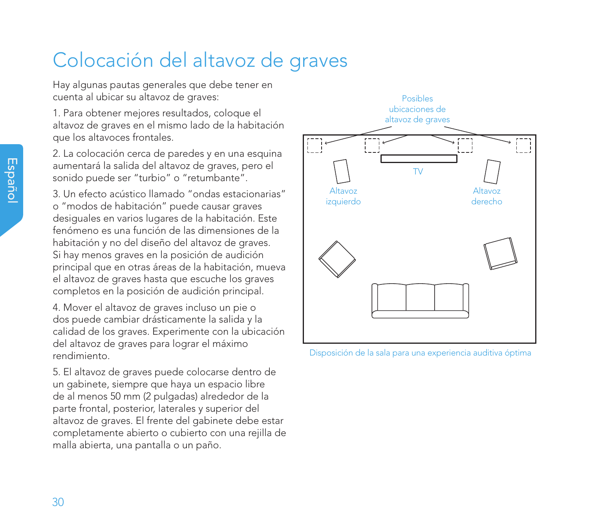## Colocación del altavoz de graves

Hay algunas pautas generales que debe tener en cuenta al ubicar su altavoz de graves:

1. Para obtener mejores resultados, coloque el altavoz de graves en el mismo lado de la habitación que los altavoces frontales.

2. La colocación cerca de paredes y en una esquina aumentará la salida del altavoz de graves, pero el sonido puede ser "turbio" o "retumbante".

3. Un efecto acústico llamado "ondas estacionarias" o "modos de habitación" puede causar graves desiguales en varios lugares de la habitación. Este fenómeno es una función de las dimensiones de la habitación y no del diseño del altavoz de graves. Si hay menos graves en la posición de audición principal que en otras áreas de la habitación, mueva el altavoz de graves hasta que escuche los graves completos en la posición de audición principal.

4. Mover el altavoz de graves incluso un pie o dos puede cambiar drásticamente la salida y la calidad de los graves. Experimente con la ubicación del altavoz de graves para lograr el máximo rendimiento.

5. El altavoz de graves puede colocarse dentro de un gabinete, siempre que haya un espacio libre de al menos 50 mm (2 pulgadas) alrededor de la parte frontal, posterior, laterales y superior del altavoz de graves. El frente del gabinete debe estar completamente abierto o cubierto con una rejilla de malla abierta, una pantalla o un paño.



Disposición de la sala para una experiencia auditiva óptima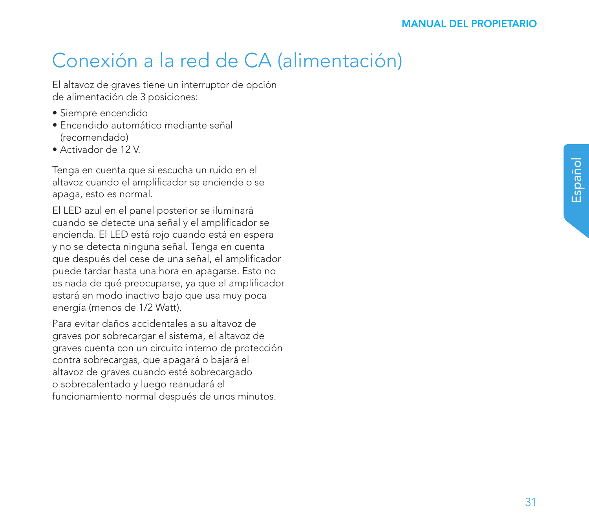## Conexión a la red de CA (alimentación)

El altavoz de graves tiene un interruptor de opción de alimentación de 3 posiciones:

- Siempre encendido
- Encendido automático mediante señal (recomendado)
- Activador de 12 V.

Tenga en cuenta que si escucha un ruido en el altavoz cuando el amplificador se enciende o se apaga, esto es normal.

El LED azul en el panel posterior se iluminará cuando se detecte una señal y el amplificador se encienda. El LED está rojo cuando está en espera y no se detecta ninguna señal. Tenga en cuenta que después del cese de una señal, el amplificador puede tardar hasta una hora en apagarse. Esto no es nada de qué preocuparse, ya que el amplificador estará en modo inactivo bajo que usa muy poca energía (menos de 1/2 Watt).

Para evitar daños accidentales a su altavoz de graves por sobrecargar el sistema, el altavoz de graves cuenta con un circuito interno de protección contra sobrecargas, que apagará o bajará el altavoz de graves cuando esté sobrecargado o sobrecalentado y luego reanudará el funcionamiento normal después de unos minutos.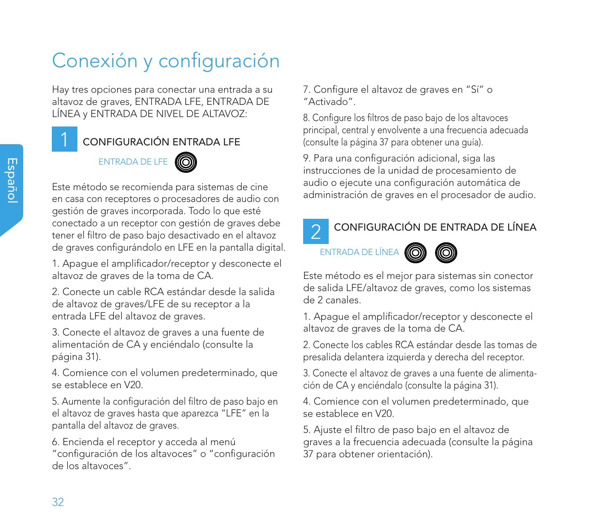# Conexión y configuración

Hay tres opciones para conectar una entrada a su altavoz de graves, ENTRADA LFE, ENTRADA DE LÍNEA y ENTRADA DE NIVEL DE ALTAVOZ:

### CONFIGURACIÓN ENTRADA LFE

## ENTRADA DE LFE



Este método se recomienda para sistemas de cine en casa con receptores o procesadores de audio con gestión de graves incorporada. Todo lo que esté conectado a un receptor con gestión de graves debe tener el filtro de paso bajo desactivado en el altavoz de graves configurándolo en LFE en la pantalla digital.

1. Apague el amplificador/receptor y desconecte el altavoz de graves de la toma de CA.

2. Conecte un cable RCA estándar desde la salida de altavoz de graves/LFE de su receptor a la entrada LFE del altavoz de graves.

3. Conecte el altavoz de graves a una fuente de alimentación de CA y enciéndalo (consulte la página 31).

4. Comience con el volumen predeterminado, que se establece en V20.

5. Aumente la configuración del filtro de paso bajo en el altavoz de graves hasta que aparezca "LFE" en la pantalla del altavoz de graves.

6. Encienda el receptor y acceda al menú "configuración de los altavoces" o "configuración de los altavoces".

7. Configure el altavoz de graves en "Sí" o "Activado".

8. Configure los filtros de paso bajo de los altavoces principal, central y envolvente a una frecuencia adecuada (consulte la página 37 para obtener una guía).

9. Para una configuración adicional, siga las instrucciones de la unidad de procesamiento de audio o ejecute una configuración automática de administración de graves en el procesador de audio.

## $\mathcal{P}$

### CONFIGURACIÓN DE ENTRADA DE LÍNEA

## ENTRADA DE LÍNEA **(6**

Este método es el mejor para sistemas sin conector de salida LFE/altavoz de graves, como los sistemas de 2 canales.

1. Apague el amplificador/receptor y desconecte el altavoz de graves de la toma de CA.

2. Conecte los cables RCA estándar desde las tomas de presalida delantera izquierda y derecha del receptor.

3. Conecte el altavoz de graves a una fuente de alimentación de CA y enciéndalo (consulte la página 31).

4. Comience con el volumen predeterminado, que se establece en V20.

5. Ajuste el filtro de paso bajo en el altavoz de graves a la frecuencia adecuada (consulte la página 37 para obtener orientación).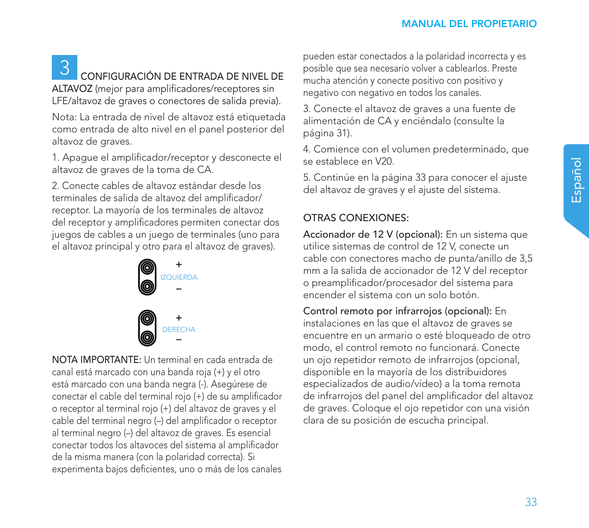# 3 CONFIGURACIÓN DE ENTRADA DE NIVEL DE

ALTAVOZ (mejor para amplificadores/receptores sin LFE/altavoz de graves o conectores de salida previa).

Nota: La entrada de nivel de altavoz está etiquetada como entrada de alto nivel en el panel posterior del altavoz de graves.

1. Apague el amplificador/receptor y desconecte el altavoz de graves de la toma de CA.

2. Conecte cables de altavoz estándar desde los terminales de salida de altavoz del amplificador/ receptor. La mayoría de los terminales de altavoz del receptor y amplificadores permiten conectar dos juegos de cables a un juego de terminales (uno para el altavoz principal y otro para el altavoz de graves).



NOTA IMPORTANTE: Un terminal en cada entrada de canal está marcado con una banda roja (+) y el otro está marcado con una banda negra (-). Asegúrese de conectar el cable del terminal rojo (+) de su amplificador o receptor al terminal rojo (+) del altavoz de graves y el cable del terminal negro (–) del amplificador o receptor al terminal negro (–) del altavoz de graves. Es esencial conectar todos los altavoces del sistema al amplificador de la misma manera (con la polaridad correcta). Si experimenta bajos deficientes, uno o más de los canales pueden estar conectados a la polaridad incorrecta y es posible que sea necesario volver a cablearlos. Preste mucha atención y conecte positivo con positivo y negativo con negativo en todos los canales.

3. Conecte el altavoz de graves a una fuente de alimentación de CA y enciéndalo (consulte la página 31).

4. Comience con el volumen predeterminado, que se establece en V20.

5. Continúe en la página 33 para conocer el ajuste del altavoz de graves y el ajuste del sistema.

### OTRAS CONEXIONES:

Accionador de 12 V (opcional): En un sistema que utilice sistemas de control de 12 V, conecte un cable con conectores macho de punta/anillo de 3,5 mm a la salida de accionador de 12 V del receptor o preamplificador/procesador del sistema para encender el sistema con un solo botón.

Control remoto por infrarrojos (opcional): En instalaciones en las que el altavoz de graves se encuentre en un armario o esté bloqueado de otro modo, el control remoto no funcionará. Conecte un ojo repetidor remoto de infrarrojos (opcional, disponible en la mayoría de los distribuidores especializados de audio/vídeo) a la toma remota de infrarrojos del panel del amplificador del altavoz de graves. Coloque el ojo repetidor con una visión clara de su posición de escucha principal.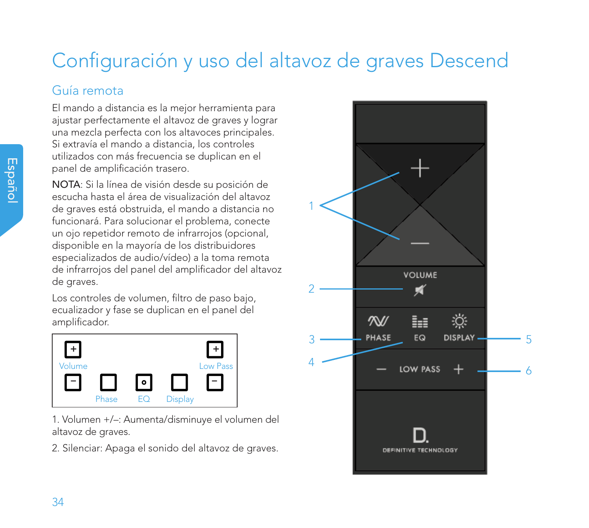# Configuración y uso del altavoz de graves Descend

### Guía remota

El mando a distancia es la mejor herramienta para ajustar perfectamente el altavoz de graves y lograr una mezcla perfecta con los altavoces principales. Si extravía el mando a distancia, los controles utilizados con más frecuencia se duplican en el panel de amplificación trasero.

NOTA: Si la línea de visión desde su posición de escucha hasta el área de visualización del altavoz de graves está obstruida, el mando a distancia no funcionará. Para solucionar el problema, conecte un ojo repetidor remoto de infrarrojos (opcional, disponible en la mayoría de los distribuidores especializados de audio/vídeo) a la toma remota de infrarrojos del panel del amplificador del altavoz de graves.

Los controles de volumen, filtro de paso bajo, ecualizador y fase se duplican en el panel del amplificador.



1. Volumen +/–: Aumenta/disminuye el volumen del altavoz de graves.

2. Silenciar: Apaga el sonido del altavoz de graves.

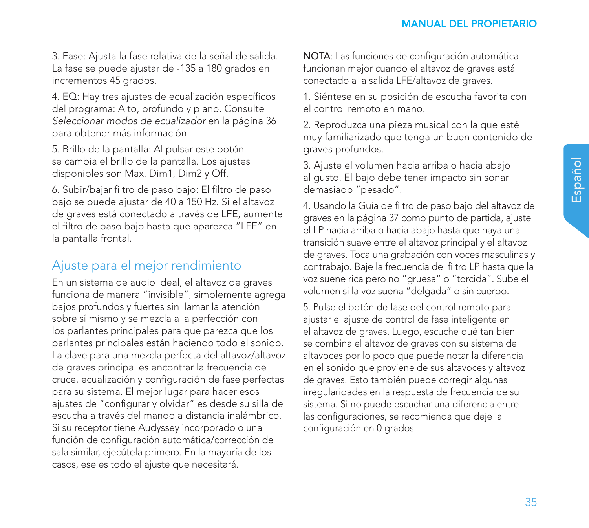3. Fase: Ajusta la fase relativa de la señal de salida. La fase se puede ajustar de -135 a 180 grados en incrementos 45 grados.

4. EQ: Hay tres ajustes de ecualización específicos del programa: Alto, profundo y plano. Consulte *Seleccionar modos de ecualizador* en la página 36 para obtener más información.

5. Brillo de la pantalla: Al pulsar este botón se cambia el brillo de la pantalla. Los ajustes disponibles son Max, Dim1, Dim2 y Off.

6. Subir/bajar filtro de paso bajo: El filtro de paso bajo se puede ajustar de 40 a 150 Hz. Si el altavoz de graves está conectado a través de LFE, aumente el filtro de paso bajo hasta que aparezca "LFE" en la pantalla frontal.

### Ajuste para el mejor rendimiento

En un sistema de audio ideal, el altavoz de graves funciona de manera "invisible", simplemente agrega bajos profundos y fuertes sin llamar la atención sobre sí mismo y se mezcla a la perfección con los parlantes principales para que parezca que los parlantes principales están haciendo todo el sonido. La clave para una mezcla perfecta del altavoz/altavoz de graves principal es encontrar la frecuencia de cruce, ecualización y configuración de fase perfectas para su sistema. El mejor lugar para hacer esos ajustes de "configurar y olvidar" es desde su silla de escucha a través del mando a distancia inalámbrico. Si su receptor tiene Audyssey incorporado o una función de configuración automática/corrección de sala similar, ejecútela primero. En la mayoría de los casos, ese es todo el ajuste que necesitará.

NOTA: Las funciones de configuración automática funcionan mejor cuando el altavoz de graves está conectado a la salida LFE/altavoz de graves.

1. Siéntese en su posición de escucha favorita con el control remoto en mano.

2. Reproduzca una pieza musical con la que esté muy familiarizado que tenga un buen contenido de graves profundos.

3. Ajuste el volumen hacia arriba o hacia abajo al gusto. El bajo debe tener impacto sin sonar demasiado "pesado".

4. Usando la Guía de filtro de paso bajo del altavoz de graves en la página 37 como punto de partida, ajuste el LP hacia arriba o hacia abajo hasta que haya una transición suave entre el altavoz principal y el altavoz de graves. Toca una grabación con voces masculinas y contrabajo. Baje la frecuencia del filtro LP hasta que la voz suene rica pero no "gruesa" o "torcida". Sube el volumen si la voz suena "delgada" o sin cuerpo.

5. Pulse el botón de fase del control remoto para ajustar el ajuste de control de fase inteligente en el altavoz de graves. Luego, escuche qué tan bien se combina el altavoz de graves con su sistema de altavoces por lo poco que puede notar la diferencia en el sonido que proviene de sus altavoces y altavoz de graves. Esto también puede corregir algunas irregularidades en la respuesta de frecuencia de su sistema. Si no puede escuchar una diferencia entre las configuraciones, se recomienda que deje la configuración en 0 grados.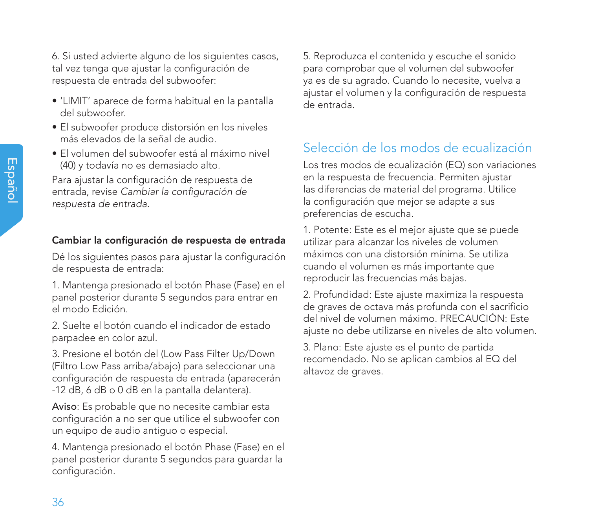6. Si usted advierte alguno de los siguientes casos, tal vez tenga que ajustar la configuración de respuesta de entrada del subwoofer:

- 'LIMIT' aparece de forma habitual en la pantalla del subwoofer.
- El subwoofer produce distorsión en los niveles más elevados de la señal de audio.
- El volumen del subwoofer está al máximo nivel (40) y todavía no es demasiado alto.

Para ajustar la configuración de respuesta de entrada, revise *Cambiar la configuración de respuesta de entrada.*

### Cambiar la configuración de respuesta de entrada

Dé los siguientes pasos para ajustar la configuración de respuesta de entrada:

1. Mantenga presionado el botón Phase (Fase) en el panel posterior durante 5 segundos para entrar en el modo Edición.

2. Suelte el botón cuando el indicador de estado parpadee en color azul.

3. Presione el botón del (Low Pass Filter Up/Down (Filtro Low Pass arriba/abajo) para seleccionar una configuración de respuesta de entrada (aparecerán -12 dB, 6 dB o 0 dB en la pantalla delantera).

Aviso: Es probable que no necesite cambiar esta configuración a no ser que utilice el subwoofer con un equipo de audio antiguo o especial.

4. Mantenga presionado el botón Phase (Fase) en el panel posterior durante 5 segundos para guardar la configuración.

5. Reproduzca el contenido y escuche el sonido para comprobar que el volumen del subwoofer ya es de su agrado. Cuando lo necesite, vuelva a ajustar el volumen y la configuración de respuesta de entrada.

## Selección de los modos de ecualización

Los tres modos de ecualización (EQ) son variaciones en la respuesta de frecuencia. Permiten ajustar las diferencias de material del programa. Utilice la configuración que mejor se adapte a sus preferencias de escucha.

1. Potente: Este es el mejor ajuste que se puede utilizar para alcanzar los niveles de volumen máximos con una distorsión mínima. Se utiliza cuando el volumen es más importante que reproducir las frecuencias más bajas.

2. Profundidad: Este ajuste maximiza la respuesta de graves de octava más profunda con el sacrificio del nivel de volumen máximo. PRECAUCIÓN: Este ajuste no debe utilizarse en niveles de alto volumen.

3. Plano: Este ajuste es el punto de partida recomendado. No se aplican cambios al EQ del altavoz de graves.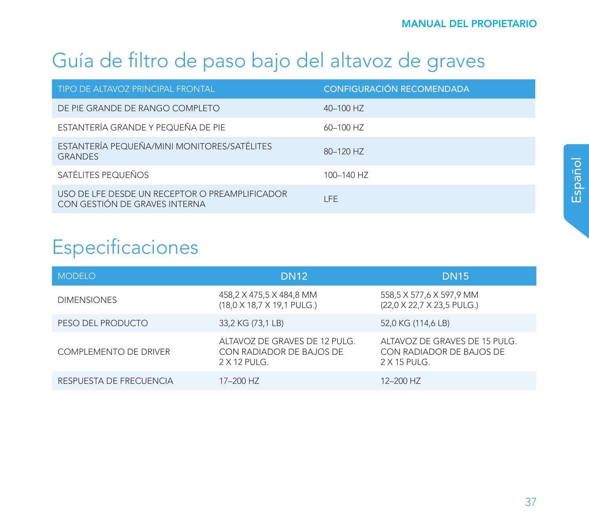## Guía de filtro de paso bajo del altavoz de graves

| TIPO DE ALTAVOZ PRINCIPAL FRONTAL                                               | CONFIGURACIÓN RECOMENDADA |
|---------------------------------------------------------------------------------|---------------------------|
| DE PIE GRANDE DE RANGO COMPLETO                                                 | 40-100 HZ                 |
| ESTANTERÍA GRANDE Y PEQUEÑA DE PIE                                              | 60-100 HZ                 |
| ESTANTERÍA PEQUEÑA/MINI MONITORES/SATÉLITES<br><b>GRANDES</b>                   | 80-120 HZ                 |
| SATÉLITES PEOUFÑOS                                                              | 100-140 HZ                |
| USO DE LFE DESDE UN RECEPTOR O PREAMPLIFICADOR<br>CON GESTIÓN DE GRAVES INTERNA | I FF                      |

## Especificaciones

| <b>MODELO</b>                | <b>DN12</b>                                                                 | <b>DN15</b>                                                               |
|------------------------------|-----------------------------------------------------------------------------|---------------------------------------------------------------------------|
| <b>DIMENSIONES</b>           | 458,2 X 475,5 X 484,8 MM<br>(18,0 X 18,7 X 19,1 PULG.)                      | 558,5 X 577,6 X 597,9 MM<br>(22,0 X 22,7 X 23,5 PULG.)                    |
| PESO DEL PRODUCTO            | 33,2 KG (73,1 LB)                                                           | 52,0 KG (114,6 LB)                                                        |
| <b>COMPLEMENTO DE DRIVER</b> | ALTAVOZ DE GRAVES DE 12 PULG.<br>CON RADIADOR DE BAJOS DE<br>$2 X 12$ PUIG. | ALTAVOZ DE GRAVES DE 15 PULG.<br>CON RADIADOR DE BAJOS DE<br>$2X15$ PUIG. |
| RESPUESTA DE FRECUENCIA      | 17-200 HZ                                                                   | 12-200 HZ                                                                 |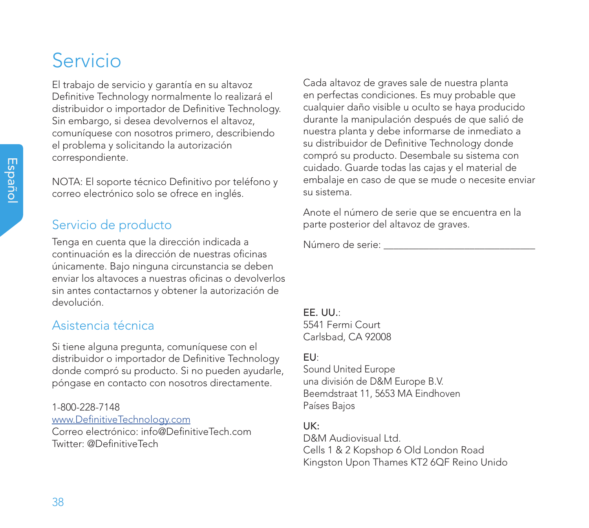# Servicio

El trabajo de servicio y garantía en su altavoz Definitive Technology normalmente lo realizará el distribuidor o importador de Definitive Technology. Sin embargo, si desea devolvernos el altavoz, comuníquese con nosotros primero, describiendo el problema y solicitando la autorización correspondiente.

NOTA: El soporte técnico Definitivo por teléfono y correo electrónico solo se ofrece en inglés.

### Servicio de producto

Tenga en cuenta que la dirección indicada a continuación es la dirección de nuestras oficinas únicamente. Bajo ninguna circunstancia se deben enviar los altavoces a nuestras oficinas o devolverlos sin antes contactarnos y obtener la autorización de devolución.

### Asistencia técnica

Si tiene alguna pregunta, comuníquese con el distribuidor o importador de Definitive Technology donde compró su producto. Si no pueden ayudarle, póngase en contacto con nosotros directamente.

1-800-228-7148 www.DefinitiveTechnology.com Correo electrónico: info@DefinitiveTech.com Twitter: @DefinitiveTech

Cada altavoz de graves sale de nuestra planta en perfectas condiciones. Es muy probable que cualquier daño visible u oculto se haya producido durante la manipulación después de que salió de nuestra planta y debe informarse de inmediato a su distribuidor de Definitive Technology donde compró su producto. Desembale su sistema con cuidado. Guarde todas las cajas y el material de embalaje en caso de que se mude o necesite enviar su sistema.

Anote el número de serie que se encuentra en la parte posterior del altavoz de graves.

Número de serie: \_\_\_\_\_\_\_\_\_\_\_\_\_\_\_\_\_\_\_\_\_\_\_\_\_\_\_\_\_\_

EE. UU.: 5541 Fermi Court Carlsbad, CA 92008

### EU:

Sound United Europe una división de D&M Europe B.V. Beemdstraat 11, 5653 MA Eindhoven Países Bajos

### UK:

D&M Audiovisual Ltd. Cells 1 & 2 Kopshop 6 Old London Road Kingston Upon Thames KT2 6QF Reino Unido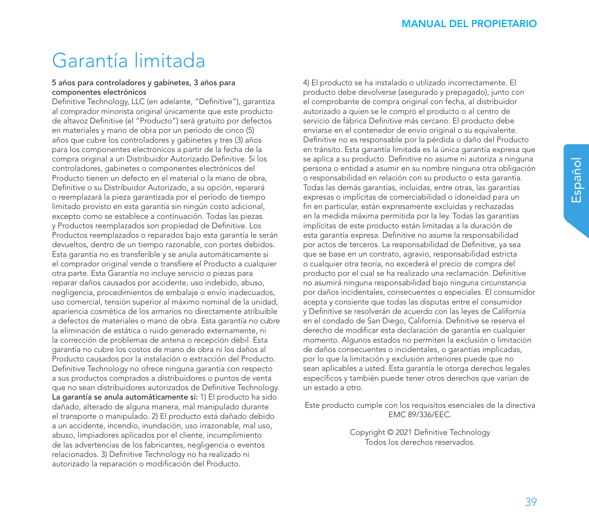## Garantía limitada

#### 5 años para controladores y gabinetes, 3 años para componentes electrónicos

Definitive Technology, LLC (en adelante, "Definitive"), garantiza al comprador minorista original únicamente que este producto de altavoz Definitive (el "Producto") será gratuito por defectos en materiales y mano de obra por un período de cinco (5) años que cubre los controladores y gabinetes y tres (3) años para los componentes electrónicos a partir de la fecha de la compra original a un Distribuidor Autorizado Definitive. Si los controladores, gabinetes o componentes electrónicos del Producto tienen un defecto en el material o la mano de obra, Definitive o su Distribuidor Autorizado, a su opción, reparará o reemplazará la pieza garantizada por el período de tiempo limitado provisto en esta garantía sin ningún costo adicional, excepto como se establece a continuación. Todas las piezas y Productos reemplazados son propiedad de Definitive. Los Productos reemplazados o reparados bajo esta garantía le serán devueltos, dentro de un tiempo razonable, con portes debidos. Esta garantía no es transferible y se anula automáticamente si el comprador original vende o transfiere el Producto a cualquier otra parte. Esta Garantía no incluye servicio o piezas para reparar daños causados por accidente, uso indebido, abuso, negligencia, procedimientos de embalaje o envío inadecuados, uso comercial, tensión superior al máximo nominal de la unidad, apariencia cosmética de los armarios no directamente atribuible a defectos de materiales o mano de obra. Esta garantía no cubre la eliminación de estática o ruido generado externamente, ni la corrección de problemas de antena o recepción débil. Esta garantía no cubre los costos de mano de obra ni los daños al Producto causados por la instalación o extracción del Producto. Definitive Technology no ofrece ninguna garantía con respecto a sus productos comprados a distribuidores o puntos de venta que no sean distribuidores autorizados de Definitive Technology. La garantía se anula automáticamente si: 1) El producto ha sido dañado, alterado de alguna manera, mal manipulado durante el transporte o manipulado. 2) El producto está dañado debido a un accidente, incendio, inundación, uso irrazonable, mal uso, abuso, limpiadores aplicados por el cliente, incumplimiento de las advertencias de los fabricantes, negligencia o eventos relacionados. 3) Definitive Technology no ha realizado ni autorizado la reparación o modificación del Producto.

4) El producto se ha instalado o utilizado incorrectamente. El producto debe devolverse (asegurado y prepagado), junto con el comprobante de compra original con fecha, al distribuidor autorizado a quien se le compró el producto o al centro de servicio de fábrica Definitive más cercano. El producto debe enviarse en el contenedor de envío original o su equivalente. Definitive no es responsable por la pérdida o daño del Producto en tránsito. Esta garantía limitada es la única garantía expresa que se aplica a su producto. Definitive no asume ni autoriza a ninguna persona o entidad a asumir en su nombre ninguna otra obligación o responsabilidad en relación con su producto o esta garantía. Todas las demás garantías, incluidas, entre otras, las garantías expresas o implícitas de comerciabilidad o idoneidad para un fin en particular, están expresamente excluidas y rechazadas en la medida máxima permitida por la ley. Todas las garantías implícitas de este producto están limitadas a la duración de esta garantía expresa. Definitive no asume la responsabilidad por actos de terceros. La responsabilidad de Definitive, ya sea que se base en un contrato, agravio, responsabilidad estricta o cualquier otra teoría, no excederá el precio de compra del producto por el cual se ha realizado una reclamación. Definitive no asumirá ninguna responsabilidad bajo ninguna circunstancia por daños incidentales, consecuentes o especiales. El consumidor acepta y consiente que todas las disputas entre el consumidor y Definitive se resolverán de acuerdo con las leyes de California en el condado de San Diego, California. Definitive se reserva el derecho de modificar esta declaración de garantía en cualquier momento. Algunos estados no permiten la exclusión o limitación de daños consecuentes o incidentales, o garantías implicadas, por lo que la limitación y exclusión anteriores puede que no sean aplicables a usted. Esta garantía le otorga derechos legales específicos y también puede tener otros derechos que varían de un estado a otro.

Este producto cumple con los requisitos esenciales de la directiva EMC 89/336/EEC.

> Copyright © 2021 Definitive Technology Todos los derechos reservados.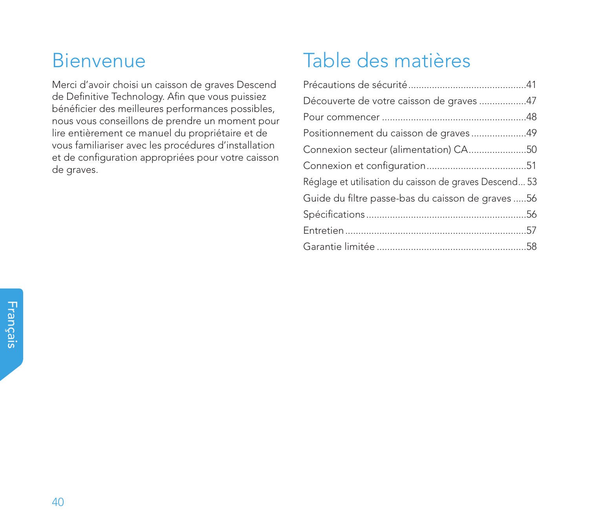## Bienvenue

Merci d'avoir choisi un caisson de graves Descend de Definitive Technology. Afin que vous puissiez bénéficier des meilleures performances possibles, nous vous conseillons de prendre un moment pour lire entièrement ce manuel du propriétaire et de vous familiariser avec les procédures d'installation et de configuration appropriées pour votre caisson de graves.

## Table des matières

| Découverte de votre caisson de graves 47               |  |
|--------------------------------------------------------|--|
|                                                        |  |
| Positionnement du caisson de graves49                  |  |
| Connexion secteur (alimentation) CA50                  |  |
|                                                        |  |
| Réglage et utilisation du caisson de graves Descend 53 |  |
| Guide du filtre passe-bas du caisson de graves 56      |  |
|                                                        |  |
|                                                        |  |
|                                                        |  |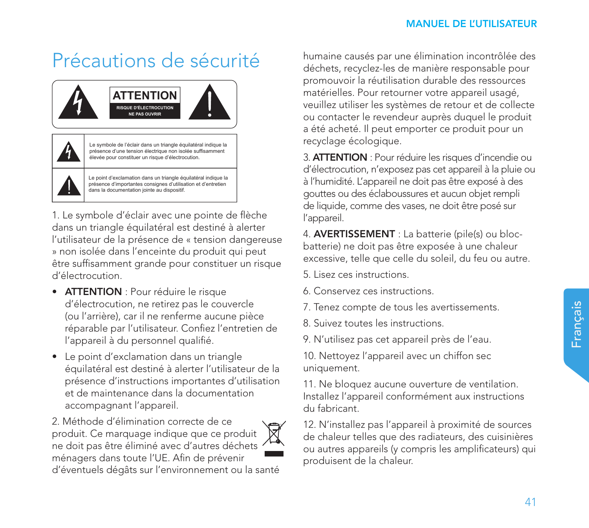# Précautions de sécurité



1. Le symbole d'éclair avec une pointe de flèche dans un triangle équilatéral est destiné à alerter l'utilisateur de la présence de « tension dangereuse » non isolée dans l'enceinte du produit qui peut être suffisamment grande pour constituer un risque d'électrocution.

- ATTENTION : Pour réduire le risque d'électrocution, ne retirez pas le couvercle (ou l'arrière), car il ne renferme aucune pièce réparable par l'utilisateur. Confiez l'entretien de l'appareil à du personnel qualifié.
- Le point d'exclamation dans un triangle équilatéral est destiné à alerter l'utilisateur de la présence d'instructions importantes d'utilisation et de maintenance dans la documentation accompagnant l'appareil.

2. Méthode d'élimination correcte de ce produit. Ce marquage indique que ce produit ne doit pas être éliminé avec d'autres déchets ménagers dans toute l'UE. Afin de prévenir



humaine causés par une élimination incontrôlée des déchets, recyclez-les de manière responsable pour promouvoir la réutilisation durable des ressources matérielles. Pour retourner votre appareil usagé, veuillez utiliser les systèmes de retour et de collecte ou contacter le revendeur auprès duquel le produit a été acheté. Il peut emporter ce produit pour un recyclage écologique.

3. ATTENTION : Pour réduire les risques d'incendie ou d'électrocution, n'exposez pas cet appareil à la pluie ou à l'humidité. L'appareil ne doit pas être exposé à des gouttes ou des éclaboussures et aucun objet rempli de liquide, comme des vases, ne doit être posé sur l'appareil.

4. AVERTISSEMENT : La batterie (pile(s) ou blocbatterie) ne doit pas être exposée à une chaleur excessive, telle que celle du soleil, du feu ou autre.

- 5. Lisez ces instructions.
- 6. Conservez ces instructions.
- 7. Tenez compte de tous les avertissements.
- 8. Suivez toutes les instructions.
- 9. N'utilisez pas cet appareil près de l'eau.

10. Nettoyez l'appareil avec un chiffon sec uniquement.

11. Ne bloquez aucune ouverture de ventilation. Installez l'appareil conformément aux instructions du fabricant.

12. N'installez pas l'appareil à proximité de sources de chaleur telles que des radiateurs, des cuisinières ou autres appareils (y compris les amplificateurs) qui produisent de la chaleur.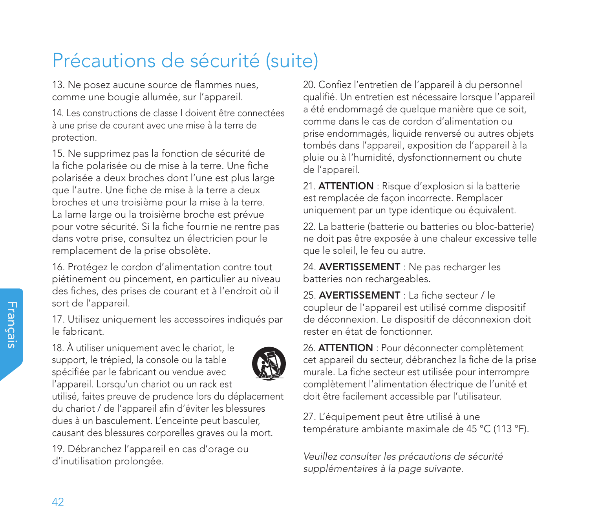13. Ne posez aucune source de flammes nues, comme une bougie allumée, sur l'appareil.

14. Les constructions de classe I doivent être connectées à une prise de courant avec une mise à la terre de protection.

15. Ne supprimez pas la fonction de sécurité de la fiche polarisée ou de mise à la terre. Une fiche polarisée a deux broches dont l'une est plus large que l'autre. Une fiche de mise à la terre a deux broches et une troisième pour la mise à la terre. La lame large ou la troisième broche est prévue pour votre sécurité. Si la fiche fournie ne rentre pas dans votre prise, consultez un électricien pour le remplacement de la prise obsolète.

16. Protégez le cordon d'alimentation contre tout piétinement ou pincement, en particulier au niveau des fiches, des prises de courant et à l'endroit où il sort de l'appareil.

17. Utilisez uniquement les accessoires indiqués par le fabricant.

18. À utiliser uniquement avec le chariot, le support, le trépied, la console ou la table spécifiée par le fabricant ou vendue avec l'appareil. Lorsqu'un chariot ou un rack est



utilisé, faites preuve de prudence lors du déplacement du chariot / de l'appareil afin d'éviter les blessures dues à un basculement. L'enceinte peut basculer, causant des blessures corporelles graves ou la mort.

19. Débranchez l'appareil en cas d'orage ou d'inutilisation prolongée.

20. Confiez l'entretien de l'appareil à du personnel qualifié. Un entretien est nécessaire lorsque l'appareil a été endommagé de quelque manière que ce soit, comme dans le cas de cordon d'alimentation ou prise endommagés, liquide renversé ou autres objets tombés dans l'appareil, exposition de l'appareil à la pluie ou à l'humidité, dysfonctionnement ou chute de l'appareil.

21. **ATTENTION** : Risque d'explosion si la batterie est remplacée de façon incorrecte. Remplacer uniquement par un type identique ou équivalent.

22. La batterie (batterie ou batteries ou bloc-batterie) ne doit pas être exposée à une chaleur excessive telle que le soleil, le feu ou autre.

24. **AVERTISSEMENT** : Ne pas recharger les batteries non rechargeables.

25. **AVERTISSEMENT** : La fiche secteur / le coupleur de l'appareil est utilisé comme dispositif de déconnexion. Le dispositif de déconnexion doit rester en état de fonctionner.

26. ATTENTION : Pour déconnecter complètement cet appareil du secteur, débranchez la fiche de la prise murale. La fiche secteur est utilisée pour interrompre complètement l'alimentation électrique de l'unité et doit être facilement accessible par l'utilisateur.

27. L'équipement peut être utilisé à une température ambiante maximale de 45 °C (113 °F).

*Veuillez consulter les précautions de sécurité supplémentaires à la page suivante.*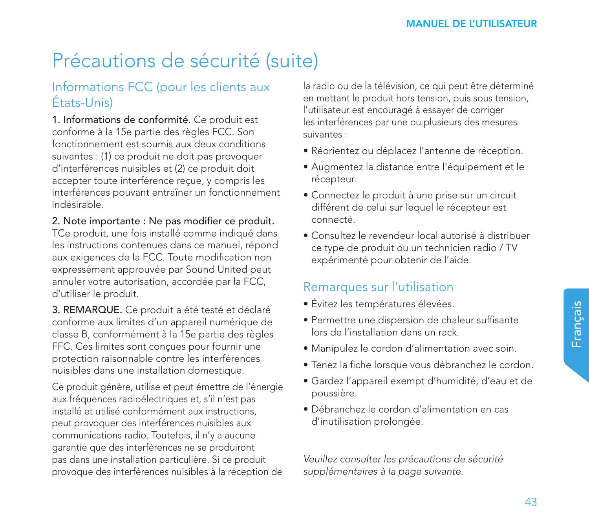### Informations FCC (pour les clients aux États-Unis)

1. Informations de conformité. Ce produit est conforme à la 15e partie des règles FCC. Son fonctionnement est soumis aux deux conditions suivantes : (1) ce produit ne doit pas provoquer d'interférences nuisibles et (2) ce produit doit accepter toute interférence reçue, y compris les interférences pouvant entraîner un fonctionnement indésirable.

2. Note importante : Ne pas modifier ce produit.

TCe produit, une fois installé comme indiqué dans les instructions contenues dans ce manuel, répond aux exigences de la FCC. Toute modification non expressément approuvée par Sound United peut annuler votre autorisation, accordée par la FCC, d'utiliser le produit.

3. REMARQUE. Ce produit a été testé et déclaré conforme aux limites d'un appareil numérique de classe B, conformément à la 15e partie des règles FFC. Ces limites sont conçues pour fournir une protection raisonnable contre les interférences nuisibles dans une installation domestique.

Ce produit génère, utilise et peut émettre de l'énergie aux fréquences radioélectriques et, s'il n'est pas installé et utilisé conformément aux instructions, peut provoquer des interférences nuisibles aux communications radio. Toutefois, il n'y a aucune garantie que des interférences ne se produiront pas dans une installation particulière. Si ce produit provoque des interférences nuisibles à la réception de

la radio ou de la télévision, ce qui peut être déterminé en mettant le produit hors tension, puis sous tension, l'utilisateur est encouragé à essayer de corriger les interférences par une ou plusieurs des mesures suivantes :

- Réorientez ou déplacez l'antenne de réception.
- Augmentez la distance entre l'équipement et le récepteur.
- Connectez le produit à une prise sur un circuit différent de celui sur lequel le récepteur est connecté.
- Consultez le revendeur local autorisé à distribuer ce type de produit ou un technicien radio / TV expérimenté pour obtenir de l'aide.

### Remarques sur l'utilisation

- Évitez les températures élevées.
- Permettre une dispersion de chaleur suffisante lors de l'installation dans un rack.
- Manipulez le cordon d'alimentation avec soin.
- Tenez la fiche lorsque vous débranchez le cordon.
- Gardez l'appareil exempt d'humidité, d'eau et de poussière.
- Débranchez le cordon d'alimentation en cas d'inutilisation prolongée.

*Veuillez consulter les précautions de sécurité supplémentaires à la page suivante.*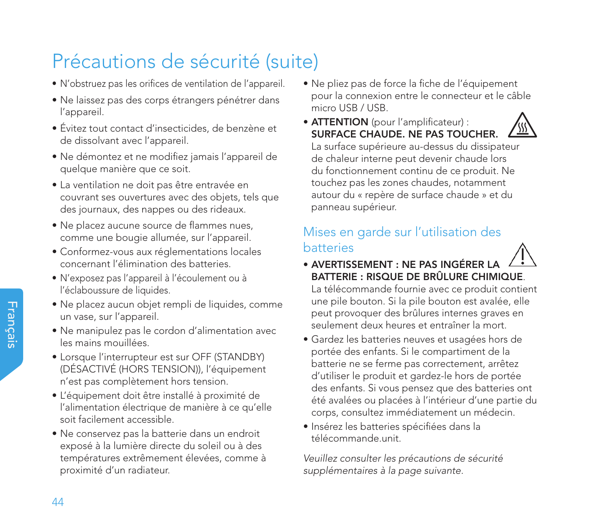- N'obstruez pas les orifices de ventilation de l'appareil.
- Ne laissez pas des corps étrangers pénétrer dans l'appareil.
- Évitez tout contact d'insecticides, de benzène et de dissolvant avec l'appareil.
- Ne démontez et ne modifiez jamais l'appareil de quelque manière que ce soit.
- La ventilation ne doit pas être entravée en couvrant ses ouvertures avec des objets, tels que des journaux, des nappes ou des rideaux.
- Ne placez aucune source de flammes nues, comme une bougie allumée, sur l'appareil.
- Conformez-vous aux réglementations locales concernant l'élimination des batteries.
- N'exposez pas l'appareil à l'écoulement ou à l'éclaboussure de liquides.
- Ne placez aucun objet rempli de liquides, comme un vase, sur l'appareil.
- Ne manipulez pas le cordon d'alimentation avec les mains mouillées.
- Lorsque l'interrupteur est sur OFF (STANDBY) (DÉSACTIVÉ (HORS TENSION)), l'équipement n'est pas complètement hors tension.
- L'équipement doit être installé à proximité de l'alimentation électrique de manière à ce qu'elle soit facilement accessible.
- Ne conservez pas la batterie dans un endroit exposé à la lumière directe du soleil ou à des températures extrêmement élevées, comme à proximité d'un radiateur.
- Ne pliez pas de force la fiche de l'équipement pour la connexion entre le connecteur et le câble micro USB / USB.
- ATTENTION (pour l'amplificateur) : SURFACE CHAUDE. NE PAS TOUCHER. La surface supérieure au-dessus du dissipateur

de chaleur interne peut devenir chaude lors du fonctionnement continu de ce produit. Ne touchez pas les zones chaudes, notamment autour du « repère de surface chaude » et du panneau supérieur.

## Mises en garde sur l'utilisation des batteries

• AVERTISSEMENT : NE PAS INGÉRER LA BATTERIE : RISQUE DE BRÛLURE CHIMIQUE.

La télécommande fournie avec ce produit contient une pile bouton. Si la pile bouton est avalée, elle peut provoquer des brûlures internes graves en seulement deux heures et entraîner la mort.

- Gardez les batteries neuves et usagées hors de portée des enfants. Si le compartiment de la batterie ne se ferme pas correctement, arrêtez d'utiliser le produit et gardez-le hors de portée des enfants. Si vous pensez que des batteries ont été avalées ou placées à l'intérieur d'une partie du corps, consultez immédiatement un médecin.
- Insérez les batteries spécifiées dans la télécommande.unit.

*Veuillez consulter les précautions de sécurité supplémentaires à la page suivante.*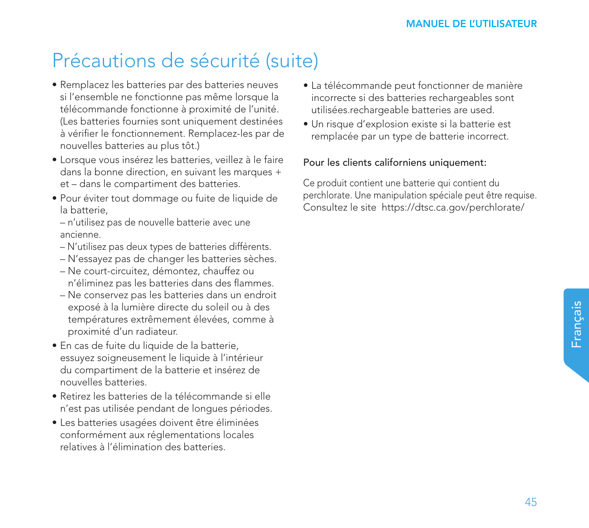- Remplacez les batteries par des batteries neuves si l'ensemble ne fonctionne pas même lorsque la télécommande fonctionne à proximité de l'unité. (Les batteries fournies sont uniquement destinées à vérifier le fonctionnement. Remplacez-les par de nouvelles batteries au plus tôt.)
- Lorsque vous insérez les batteries, veillez à le faire dans la bonne direction, en suivant les marques + et – dans le compartiment des batteries.
- Pour éviter tout dommage ou fuite de liquide de la batterie,
	- n'utilisez pas de nouvelle batterie avec une ancienne.
	- N'utilisez pas deux types de batteries différents.
	- N'essayez pas de changer les batteries sèches.
	- Ne court-circuitez, démontez, chauffez ou n'éliminez pas les batteries dans des flammes.
	- Ne conservez pas les batteries dans un endroit exposé à la lumière directe du soleil ou à des températures extrêmement élevées, comme à proximité d'un radiateur.
- En cas de fuite du liquide de la batterie, essuyez soigneusement le liquide à l'intérieur du compartiment de la batterie et insérez de nouvelles batteries.
- Retirez les batteries de la télécommande si elle n'est pas utilisée pendant de longues périodes.
- Les batteries usagées doivent être éliminées conformément aux réglementations locales relatives à l'élimination des batteries.
- La télécommande peut fonctionner de manière incorrecte si des batteries rechargeables sont utilisées.rechargeable batteries are used.
- Un risque d'explosion existe si la batterie est remplacée par un type de batterie incorrect.

### Pour les clients californiens uniquement:

Ce produit contient une batterie qui contient du perchlorate. Une manipulation spéciale peut être requise. Consultez le site https://dtsc.ca.gov/perchlorate/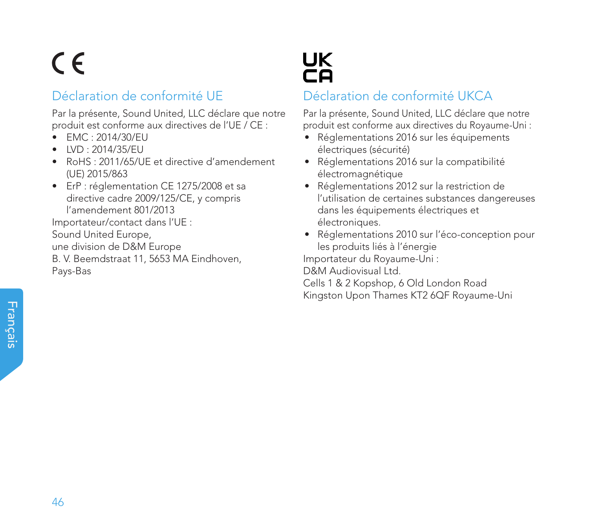# $\epsilon$

## Déclaration de conformité UE

Par la présente, Sound United, LLC déclare que notre produit est conforme aux directives de l'UE / CE :

- EMC : 2014/30/EU
- LVD : 2014/35/EU
- RoHS : 2011/65/UE et directive d'amendement (UE) 2015/863
- ErP : réglementation CE 1275/2008 et sa directive cadre 2009/125/CE, y compris l'amendement 801/2013

Importateur/contact dans l'UE : Sound United Europe,

une division de D&M Europe

B. V. Beemdstraat 11, 5653 MA Eindhoven, Pays-Bas



## Déclaration de conformité UKCA

Par la présente, Sound United, LLC déclare que notre produit est conforme aux directives du Royaume-Uni :

- Réglementations 2016 sur les équipements électriques (sécurité)
- Réglementations 2016 sur la compatibilité électromagnétique
- Réglementations 2012 sur la restriction de l'utilisation de certaines substances dangereuses dans les équipements électriques et électroniques.
- Réglementations 2010 sur l'éco-conception pour les produits liés à l'énergie

Importateur du Royaume-Uni :

D&M Audiovisual Ltd.

Cells 1 & 2 Kopshop, 6 Old London Road Kingston Upon Thames KT2 6QF Royaume-Uni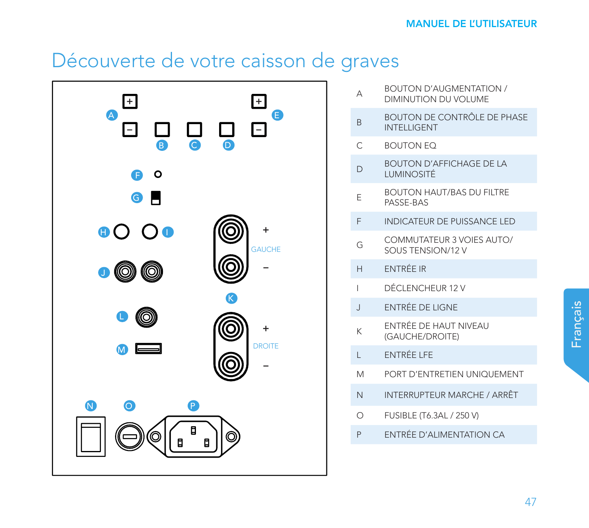## Découverte de votre caisson de graves



- A BOUTON D'AUGMENTATION / DIMINUTION DU VOLUME
- BOUTON DE CONTRÔLE DE PHASE INTELLIGENT
- C BOUTON EQ
- D BOUTON D'AFFICHAGE DE LA LUMINOSITÉ
- E BOUTON HAUT/BAS DU FILTRE PASSE-BAS
- F INDICATEUR DE PUISSANCE LED
- G COMMUTATEUR 3 VOIES AUTO/ SOUS TENSION/12 V
- H ENTRÉE IR
- I DÉCLENCHEUR 12 V
- J ENTRÉE DE LIGNE
- K ENTRÉE DE HAUT NIVEAU (GAUCHE/DROITE)
- L ENTRÉE LFE
- M PORT D'ENTRETIEN UNIQUEMENT
- N INTERRUPTEUR MARCHE / ARRÊT
- O FUSIBLE (T6.3AL / 250 V)
- P ENTRÉE D'ALIMENTATION CA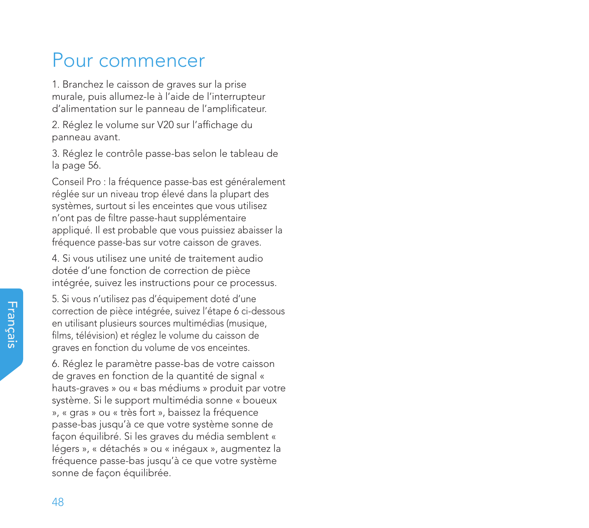## Pour commencer

1. Branchez le caisson de graves sur la prise murale, puis allumez-le à l'aide de l'interrupteur d'alimentation sur le panneau de l'amplificateur.

2. Réglez le volume sur V20 sur l'affichage du panneau avant.

3. Réglez le contrôle passe-bas selon le tableau de la page 56.

Conseil Pro : la fréquence passe-bas est généralement réglée sur un niveau trop élevé dans la plupart des systèmes, surtout si les enceintes que vous utilisez n'ont pas de filtre passe-haut supplémentaire appliqué. Il est probable que vous puissiez abaisser la fréquence passe-bas sur votre caisson de graves.

4. Si vous utilisez une unité de traitement audio dotée d'une fonction de correction de pièce intégrée, suivez les instructions pour ce processus.

5. Si vous n'utilisez pas d'équipement doté d'une correction de pièce intégrée, suivez l'étape 6 ci-dessous en utilisant plusieurs sources multimédias (musique, films, télévision) et réglez le volume du caisson de graves en fonction du volume de vos enceintes.

6. Réglez le paramètre passe-bas de votre caisson de graves en fonction de la quantité de signal « hauts-graves » ou « bas médiums » produit par votre système. Si le support multimédia sonne « boueux », « gras » ou « très fort », baissez la fréquence passe-bas jusqu'à ce que votre système sonne de façon équilibré. Si les graves du média semblent « légers », « détachés » ou « inégaux », augmentez la fréquence passe-bas jusqu'à ce que votre système sonne de façon équilibrée.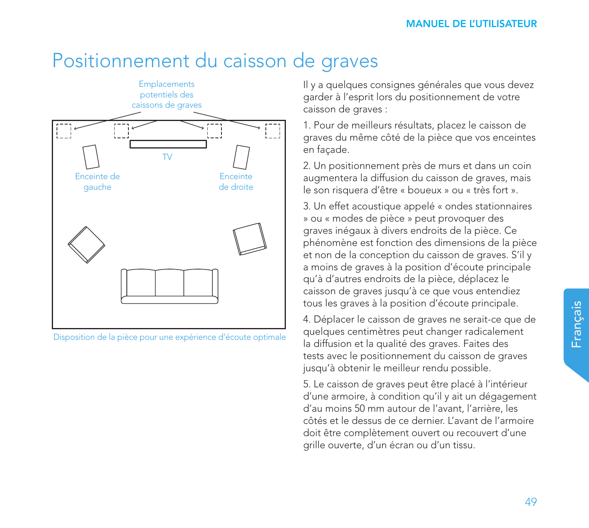## Positionnement du caisson de graves



Disposition de la pièce pour une expérience d'écoute optimale

Il y a quelques consignes générales que vous devez garder à l'esprit lors du positionnement de votre caisson de graves :

1. Pour de meilleurs résultats, placez le caisson de graves du même côté de la pièce que vos enceintes en façade.

2. Un positionnement près de murs et dans un coin augmentera la diffusion du caisson de graves, mais le son risquera d'être « boueux » ou « très fort ».

3. Un effet acoustique appelé « ondes stationnaires » ou « modes de pièce » peut provoquer des graves inégaux à divers endroits de la pièce. Ce phénomène est fonction des dimensions de la pièce et non de la conception du caisson de graves. S'il y a moins de graves à la position d'écoute principale qu'à d'autres endroits de la pièce, déplacez le caisson de graves jusqu'à ce que vous entendiez tous les graves à la position d'écoute principale.

4. Déplacer le caisson de graves ne serait-ce que de quelques centimètres peut changer radicalement la diffusion et la qualité des graves. Faites des tests avec le positionnement du caisson de graves jusqu'à obtenir le meilleur rendu possible.

5. Le caisson de graves peut être placé à l'intérieur d'une armoire, à condition qu'il y ait un dégagement d'au moins 50 mm autour de l'avant, l'arrière, les côtés et le dessus de ce dernier. L'avant de l'armoire doit être complètement ouvert ou recouvert d'une grille ouverte, d'un écran ou d'un tissu.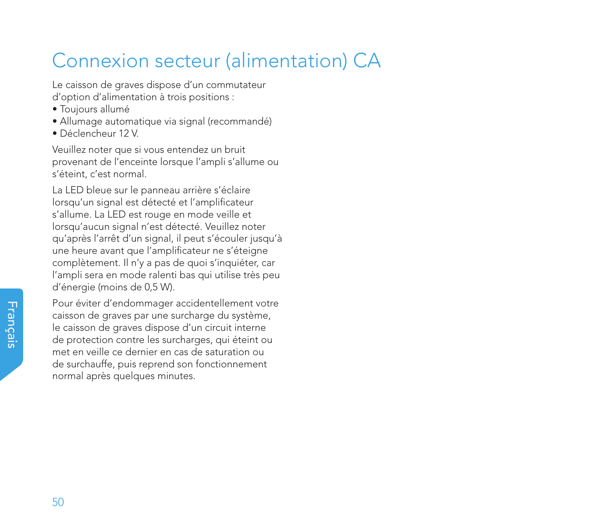## Connexion secteur (alimentation) CA

Le caisson de graves dispose d'un commutateur d'option d'alimentation à trois positions :

- Toujours allumé
- Allumage automatique via signal (recommandé)
- Déclencheur 12 V.

Veuillez noter que si vous entendez un bruit provenant de l'enceinte lorsque l'ampli s'allume ou s'éteint, c'est normal.

La LED bleue sur le panneau arrière s'éclaire lorsqu'un signal est détecté et l'amplificateur s'allume. La LED est rouge en mode veille et lorsqu'aucun signal n'est détecté. Veuillez noter qu'après l'arrêt d'un signal, il peut s'écouler jusqu'à une heure avant que l'amplificateur ne s'éteigne complètement. Il n'y a pas de quoi s'inquiéter, car l'ampli sera en mode ralenti bas qui utilise très peu d'énergie (moins de 0,5 W).

Pour éviter d'endommager accidentellement votre caisson de graves par une surcharge du système, le caisson de graves dispose d'un circuit interne de protection contre les surcharges, qui éteint ou met en veille ce dernier en cas de saturation ou de surchauffe, puis reprend son fonctionnement normal après quelques minutes.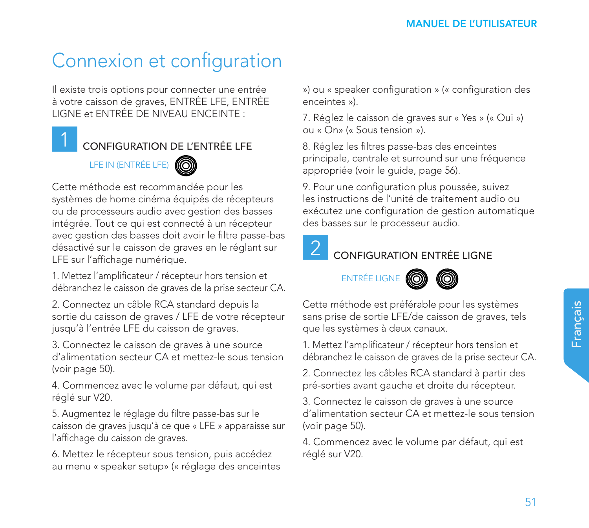# Connexion et configuration

Il existe trois options pour connecter une entrée à votre caisson de graves, ENTRÉE LFE, ENTRÉE LIGNE et ENTRÉE DE NIVEAU ENCEINTE :

### CONFIGURATION DE L'ENTRÉE LFE

## LFE IN (ENTRÉE LFE)



Cette méthode est recommandée pour les systèmes de home cinéma équipés de récepteurs ou de processeurs audio avec gestion des basses intégrée. Tout ce qui est connecté à un récepteur avec gestion des basses doit avoir le filtre passe-bas désactivé sur le caisson de graves en le réglant sur LFE sur l'affichage numérique.

1. Mettez l'amplificateur / récepteur hors tension et débranchez le caisson de graves de la prise secteur CA.

2. Connectez un câble RCA standard depuis la sortie du caisson de graves / LFE de votre récepteur jusqu'à l'entrée LFE du caisson de graves.

3. Connectez le caisson de graves à une source d'alimentation secteur CA et mettez-le sous tension (voir page 50).

4. Commencez avec le volume par défaut, qui est réglé sur V20.

5. Augmentez le réglage du filtre passe-bas sur le caisson de graves jusqu'à ce que « LFE » apparaisse sur l'affichage du caisson de graves.

6. Mettez le récepteur sous tension, puis accédez au menu « speaker setup» (« réglage des enceintes ») ou « speaker configuration » (« configuration des enceintes »).

7. Réglez le caisson de graves sur « Yes » (« Oui ») ou « On» (« Sous tension »).

8. Réglez les filtres passe-bas des enceintes principale, centrale et surround sur une fréquence appropriée (voir le guide, page 56).

9. Pour une configuration plus poussée, suivez les instructions de l'unité de traitement audio ou exécutez une configuration de gestion automatique des basses sur le processeur audio.



### CONFIGURATION ENTRÉE LIGNE

## ENTRÉE LIGNE



Cette méthode est préférable pour les systèmes sans prise de sortie LFE/de caisson de graves, tels que les systèmes à deux canaux.

1. Mettez l'amplificateur / récepteur hors tension et débranchez le caisson de graves de la prise secteur CA.

2. Connectez les câbles RCA standard à partir des pré-sorties avant gauche et droite du récepteur.

3. Connectez le caisson de graves à une source d'alimentation secteur CA et mettez-le sous tension (voir page 50).

4. Commencez avec le volume par défaut, qui est réglé sur V20.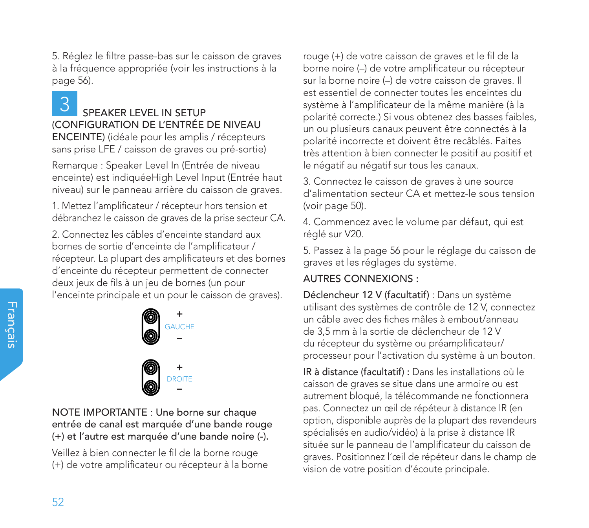5. Réglez le filtre passe-bas sur le caisson de graves à la fréquence appropriée (voir les instructions à la page 56).

3

### SPEAKER LEVEL IN SETUP (CONFIGURATION DE L'ENTRÉE DE NIVEAU ENCEINTE) (idéale pour les amplis / récepteurs sans prise LFE / caisson de graves ou pré-sortie)

Remarque : Speaker Level In (Entrée de niveau enceinte) est indiquéeHigh Level Input (Entrée haut niveau) sur le panneau arrière du caisson de graves.

1. Mettez l'amplificateur / récepteur hors tension et débranchez le caisson de graves de la prise secteur CA.

2. Connectez les câbles d'enceinte standard aux bornes de sortie d'enceinte de l'amplificateur / récepteur. La plupart des amplificateurs et des bornes d'enceinte du récepteur permettent de connecter deux jeux de fils à un jeu de bornes (un pour l'enceinte principale et un pour le caisson de graves).



NOTE IMPORTANTE : Une borne sur chaque entrée de canal est marquée d'une bande rouge (+) et l'autre est marquée d'une bande noire (-).

Veillez à bien connecter le fil de la borne rouge (+) de votre amplificateur ou récepteur à la borne rouge (+) de votre caisson de graves et le fil de la borne noire (–) de votre amplificateur ou récepteur sur la borne noire (–) de votre caisson de graves. Il est essentiel de connecter toutes les enceintes du système à l'amplificateur de la même manière (à la polarité correcte.) Si vous obtenez des basses faibles, un ou plusieurs canaux peuvent être connectés à la polarité incorrecte et doivent être recâblés. Faites très attention à bien connecter le positif au positif et le négatif au négatif sur tous les canaux.

3. Connectez le caisson de graves à une source d'alimentation secteur CA et mettez-le sous tension (voir page 50).

4. Commencez avec le volume par défaut, qui est réglé sur V20.

5. Passez à la page 56 pour le réglage du caisson de graves et les réglages du système.

### AUTRES CONNEXIONS :

Déclencheur 12 V (facultatif) : Dans un système utilisant des systèmes de contrôle de 12 V, connectez un câble avec des fiches mâles à embout/anneau de 3,5 mm à la sortie de déclencheur de 12 V du récepteur du système ou préamplificateur/ processeur pour l'activation du système à un bouton.

IR à distance (facultatif) : Dans les installations où le caisson de graves se situe dans une armoire ou est autrement bloqué, la télécommande ne fonctionnera pas. Connectez un œil de répéteur à distance IR (en option, disponible auprès de la plupart des revendeurs spécialisés en audio/vidéo) à la prise à distance IR située sur le panneau de l'amplificateur du caisson de graves. Positionnez l'œil de répéteur dans le champ de vision de votre position d'écoute principale.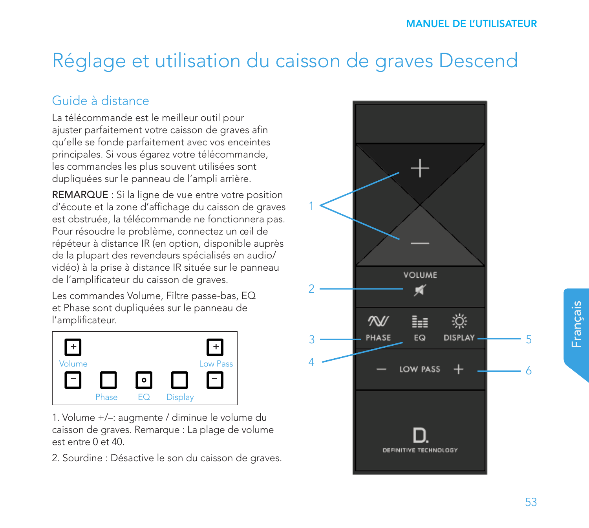# Réglage et utilisation du caisson de graves Descend

## Guide à distance

La télécommande est le meilleur outil pour ajuster parfaitement votre caisson de graves afin qu'elle se fonde parfaitement avec vos enceintes principales. Si vous égarez votre télécommande, les commandes les plus souvent utilisées sont dupliquées sur le panneau de l'ampli arrière.

REMARQUE : Si la ligne de vue entre votre position d'écoute et la zone d'affichage du caisson de graves est obstruée, la télécommande ne fonctionnera pas. Pour résoudre le problème, connectez un œil de répéteur à distance IR (en option, disponible auprès de la plupart des revendeurs spécialisés en audio/ vidéo) à la prise à distance IR située sur le panneau de l'amplificateur du caisson de graves.

Les commandes Volume, Filtre passe-bas, EQ et Phase sont dupliquées sur le panneau de l'amplificateur.



1. Volume +/–: augmente / diminue le volume du caisson de graves. Remarque : La plage de volume est entre 0 et 40.

2. Sourdine : Désactive le son du caisson de graves.

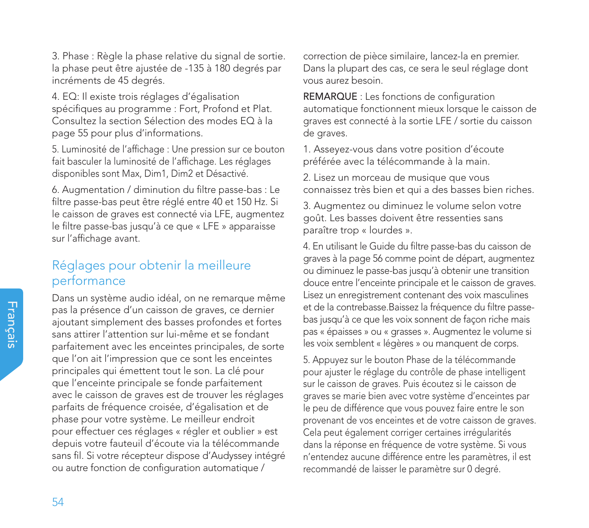3. Phase : Règle la phase relative du signal de sortie. la phase peut être ajustée de -135 à 180 degrés par incréments de 45 degrés.

4. EQ: Il existe trois réglages d'égalisation spécifiques au programme : Fort, Profond et Plat. Consultez la section Sélection des modes EQ à la page 55 pour plus d'informations.

5. Luminosité de l'affichage : Une pression sur ce bouton fait basculer la luminosité de l'affichage. Les réglages disponibles sont Max, Dim1, Dim2 et Désactivé.

6. Augmentation / diminution du filtre passe-bas : Le filtre passe-bas peut être réglé entre 40 et 150 Hz. Si le caisson de graves est connecté via LFE, augmentez le filtre passe-bas jusqu'à ce que « LFE » apparaisse sur l'affichage avant.

### Réglages pour obtenir la meilleure performance

Dans un système audio idéal, on ne remarque même pas la présence d'un caisson de graves, ce dernier ajoutant simplement des basses profondes et fortes sans attirer l'attention sur lui-même et se fondant parfaitement avec les enceintes principales, de sorte que l'on ait l'impression que ce sont les enceintes principales qui émettent tout le son. La clé pour que l'enceinte principale se fonde parfaitement avec le caisson de graves est de trouver les réglages parfaits de fréquence croisée, d'égalisation et de phase pour votre système. Le meilleur endroit pour effectuer ces réglages « régler et oublier » est depuis votre fauteuil d'écoute via la télécommande sans fil. Si votre récepteur dispose d'Audyssey intégré ou autre fonction de configuration automatique /

correction de pièce similaire, lancez-la en premier. Dans la plupart des cas, ce sera le seul réglage dont vous aurez besoin.

REMARQUE : Les fonctions de configuration automatique fonctionnent mieux lorsque le caisson de graves est connecté à la sortie LFE / sortie du caisson de graves.

1. Asseyez-vous dans votre position d'écoute préférée avec la télécommande à la main.

2. Lisez un morceau de musique que vous connaissez très bien et qui a des basses bien riches.

3. Augmentez ou diminuez le volume selon votre goût. Les basses doivent être ressenties sans paraître trop « lourdes ».

4. En utilisant le Guide du filtre passe-bas du caisson de graves à la page 56 comme point de départ, augmentez ou diminuez le passe-bas jusqu'à obtenir une transition douce entre l'enceinte principale et le caisson de graves. Lisez un enregistrement contenant des voix masculines et de la contrebasse.Baissez la fréquence du filtre passebas jusqu'à ce que les voix sonnent de façon riche mais pas « épaisses » ou « grasses ». Augmentez le volume si les voix semblent « légères » ou manquent de corps.

5. Appuyez sur le bouton Phase de la télécommande pour ajuster le réglage du contrôle de phase intelligent sur le caisson de graves. Puis écoutez si le caisson de graves se marie bien avec votre système d'enceintes par le peu de différence que vous pouvez faire entre le son provenant de vos enceintes et de votre caisson de graves. Cela peut également corriger certaines irrégularités dans la réponse en fréquence de votre système. Si vous n'entendez aucune différence entre les paramètres, il est recommandé de laisser le paramètre sur 0 degré.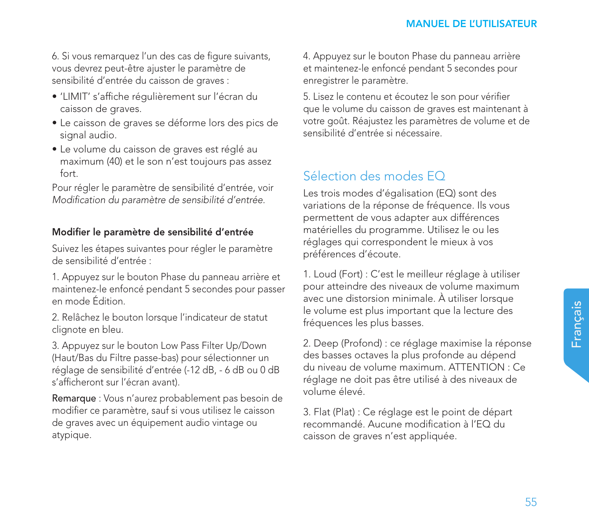6. Si vous remarquez l'un des cas de figure suivants, vous devrez peut-être ajuster le paramètre de sensibilité d'entrée du caisson de graves :

- 'LIMIT' s'affiche régulièrement sur l'écran du caisson de graves.
- Le caisson de graves se déforme lors des pics de signal audio.
- Le volume du caisson de graves est réglé au maximum (40) et le son n'est toujours pas assez fort.

Pour régler le paramètre de sensibilité d'entrée, voir *Modification du paramètre de sensibilité d'entrée.*

### Modifier le paramètre de sensibilité d'entrée

Suivez les étapes suivantes pour régler le paramètre de sensibilité d'entrée :

1. Appuyez sur le bouton Phase du panneau arrière et maintenez-le enfoncé pendant 5 secondes pour passer en mode Édition.

2. Relâchez le bouton lorsque l'indicateur de statut clignote en bleu.

3. Appuyez sur le bouton Low Pass Filter Up/Down (Haut/Bas du Filtre passe-bas) pour sélectionner un réglage de sensibilité d'entrée (-12 dB, - 6 dB ou 0 dB s'afficheront sur l'écran avant).

Remarque : Vous n'aurez probablement pas besoin de modifier ce paramètre, sauf si vous utilisez le caisson de graves avec un équipement audio vintage ou atypique.

4. Appuyez sur le bouton Phase du panneau arrière et maintenez-le enfoncé pendant 5 secondes pour enregistrer le paramètre.

5. Lisez le contenu et écoutez le son pour vérifier que le volume du caisson de graves est maintenant à votre goût. Réajustez les paramètres de volume et de sensibilité d'entrée si nécessaire.

### Sélection des modes EQ

Les trois modes d'égalisation (EQ) sont des variations de la réponse de fréquence. Ils vous permettent de vous adapter aux différences matérielles du programme. Utilisez le ou les réglages qui correspondent le mieux à vos préférences d'écoute.

1. Loud (Fort) : C'est le meilleur réglage à utiliser pour atteindre des niveaux de volume maximum avec une distorsion minimale. À utiliser lorsque le volume est plus important que la lecture des fréquences les plus basses.

2. Deep (Profond) : ce réglage maximise la réponse des basses octaves la plus profonde au dépend du niveau de volume maximum. ATTENTION : Ce réglage ne doit pas être utilisé à des niveaux de volume élevé.

3. Flat (Plat) : Ce réglage est le point de départ recommandé. Aucune modification à l'EQ du caisson de graves n'est appliquée.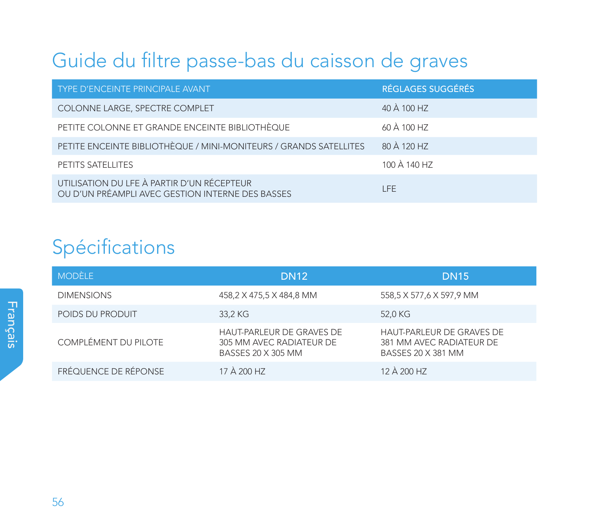# Guide du filtre passe-bas du caisson de graves

| TYPE D'ENCEINTE PRINCIPALE AVANT                                                               | RÉGLAGES SUGGÉRÉS |
|------------------------------------------------------------------------------------------------|-------------------|
| COLONNE LARGE, SPECTRE COMPLET                                                                 | 40 À 100 HZ       |
| PETITE COLONNE ET GRANDE ENCEINTE BIBLIOTHÈQUE                                                 | 60 À 100 HZ       |
| PETITE ENCEINTE BIBLIOTHÈQUE / MINI-MONITEURS / GRANDS SATELLITES                              | 80 À 120 HZ       |
| PETITS SATELLITES                                                                              | 100 À 140 HZ      |
| UTILISATION DU LFE À PARTIR D'UN RÉCEPTEUR<br>OU D'UN PRÉAMPLI AVEC GESTION INTERNE DES BASSES | I FF.             |

# Spécifications

| <b>MODÈLE</b>        | <b>DN12</b>                                                                 | <b>DN15</b>                                                                 |
|----------------------|-----------------------------------------------------------------------------|-----------------------------------------------------------------------------|
| <b>DIMENSIONS</b>    | 458,2 X 475,5 X 484,8 MM                                                    | 558,5 X 577,6 X 597,9 MM                                                    |
| POIDS DU PRODUIT     | 33.2 KG                                                                     | 52.0 KG                                                                     |
| COMPLÉMENT DU PILOTE | HAUT-PARLEUR DE GRAVES DE<br>305 MM AVEC RADIATEUR DE<br>BASSES 20 X 305 MM | HAUT-PARLEUR DE GRAVES DE<br>381 MM AVEC RADIATEUR DE<br>BASSES 20 X 381 MM |
| FRÉQUENCE DE RÉPONSE | 17 À 200 HZ                                                                 | 12 À 200 HZ                                                                 |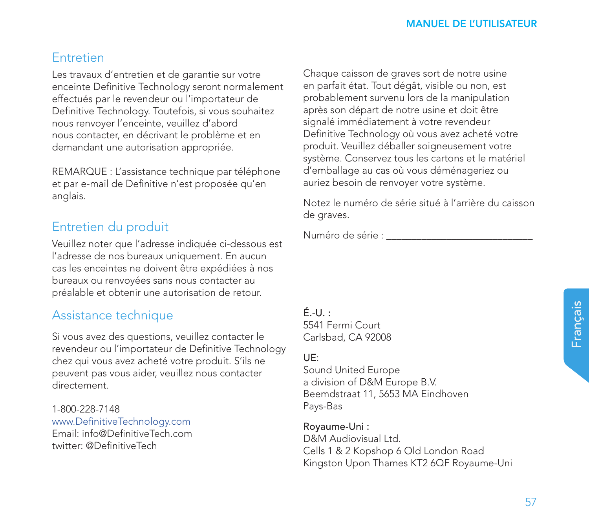Français

### **Entretien**

Les travaux d'entretien et de garantie sur votre enceinte Definitive Technology seront normalement effectués par le revendeur ou l'importateur de Definitive Technology. Toutefois, si vous souhaitez nous renvoyer l'enceinte, veuillez d'abord nous contacter, en décrivant le problème et en demandant une autorisation appropriée.

REMARQUE : L'assistance technique par téléphone et par e-mail de Definitive n'est proposée qu'en anglais.

### Entretien du produit

Veuillez noter que l'adresse indiquée ci-dessous est l'adresse de nos bureaux uniquement. En aucun cas les enceintes ne doivent être expédiées à nos bureaux ou renvoyées sans nous contacter au préalable et obtenir une autorisation de retour.

### Assistance technique

Si vous avez des questions, veuillez contacter le revendeur ou l'importateur de Definitive Technology chez qui vous avez acheté votre produit. S'ils ne peuvent pas vous aider, veuillez nous contacter directement.

1-800-228-7148 www.DefinitiveTechnology.com Email: info@DefinitiveTech.com twitter: @DefinitiveTech

Chaque caisson de graves sort de notre usine en parfait état. Tout dégât, visible ou non, est probablement survenu lors de la manipulation après son départ de notre usine et doit être signalé immédiatement à votre revendeur Definitive Technology où vous avez acheté votre produit. Veuillez déballer soigneusement votre système. Conservez tous les cartons et le matériel d'emballage au cas où vous déménageriez ou auriez besoin de renvoyer votre système.

Notez le numéro de série situé à l'arrière du caisson de graves.

Numéro de série : \_\_\_\_\_\_\_\_\_\_\_\_\_\_\_\_\_\_\_\_\_\_\_\_\_\_\_\_\_

 $F - U$ . 5541 Fermi Court Carlsbad, CA 92008

### UE:

Sound United Europe a division of D&M Europe B.V. Beemdstraat 11, 5653 MA Eindhoven Pays-Bas

Royaume-Uni : D&M Audiovisual Ltd. Cells 1 & 2 Kopshop 6 Old London Road Kingston Upon Thames KT2 6QF Royaume-Uni